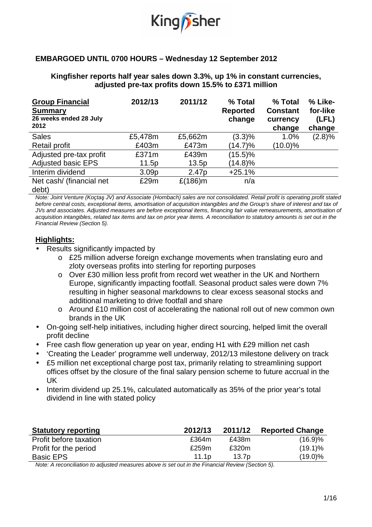

## **EMBARGOED UNTIL 0700 HOURS – Wednesday 12 September 2012**

### **Kingfisher reports half year sales down 3.3%, up 1% in constant currencies, adjusted pre-tax profits down 15.5% to £371 million**

| <b>Group Financial</b><br><b>Summary</b><br>26 weeks ended 28 July<br>2012 | 2012/13           | 2011/12           | % Total<br><b>Reported</b><br>change | % Total<br><b>Constant</b><br>currency<br>change | % Like-<br>for-like<br>(LFL)<br>change |
|----------------------------------------------------------------------------|-------------------|-------------------|--------------------------------------|--------------------------------------------------|----------------------------------------|
| <b>Sales</b>                                                               | £5,478m           | £5,662m           | $(3.3)\%$                            | 1.0%                                             | (2.8)%                                 |
| <b>Retail profit</b>                                                       | £403m             | £473m             | (14.7)%                              | $(10.0)\%$                                       |                                        |
| Adjusted pre-tax profit                                                    | £371 $m$          | £439m             | $(15.5)\%$                           |                                                  |                                        |
| <b>Adjusted basic EPS</b>                                                  | 11.5p             | 13.5p             | (14.8)%                              |                                                  |                                        |
| Interim dividend                                                           | 3.09 <sub>p</sub> | 2.47 <sub>p</sub> | $+25.1%$                             |                                                  |                                        |
| Net cash/ (financial net)<br>$\blacksquare$                                | £29m              | £(186)m           | n/a                                  |                                                  |                                        |

debt)

Note: Joint Venture (Koçtaş JV) and Associate (Hornbach) sales are not consolidated. Retail profit is operating profit stated before central costs, exceptional items, amortisation of acquisition intangibles and the Group's share of interest and tax of JVs and associates. Adjusted measures are before exceptional items, financing fair value remeasurements, amortisation of acquisition intangibles, related tax items and tax on prior year items. A reconciliation to statutory amounts is set out in the Financial Review (Section 5).

### **Highlights:**

• Results significantly impacted by

- o £25 million adverse foreign exchange movements when translating euro and zloty overseas profits into sterling for reporting purposes
- $\circ$  Over £30 million less profit from record wet weather in the UK and Northern Europe, significantly impacting footfall. Seasonal product sales were down 7% resulting in higher seasonal markdowns to clear excess seasonal stocks and additional marketing to drive footfall and share
- o Around £10 million cost of accelerating the national roll out of new common own brands in the UK
- On-going self-help initiatives, including higher direct sourcing, helped limit the overall profit decline
- Free cash flow generation up year on year, ending H1 with £29 million net cash
- 'Creating the Leader' programme well underway, 2012/13 milestone delivery on track
- £5 million net exceptional charge post tax, primarily relating to streamlining support offices offset by the closure of the final salary pension scheme to future accrual in the UK
- Interim dividend up 25.1%, calculated automatically as 35% of the prior year's total dividend in line with stated policy

| <b>Statutory reporting</b> | 2012/13           | 2011/12 | <b>Reported Change</b> |
|----------------------------|-------------------|---------|------------------------|
| Profit before taxation     | £364m             | £438m   | (16.9)%                |
| Profit for the period      | £259m             | £320m   | $(19.1)\%$             |
| <b>Basic EPS</b>           | 11.1 <sub>D</sub> | 13.7p   | $(19.0)\%$             |

Note: A reconciliation to adjusted measures above is set out in the Financial Review (Section 5).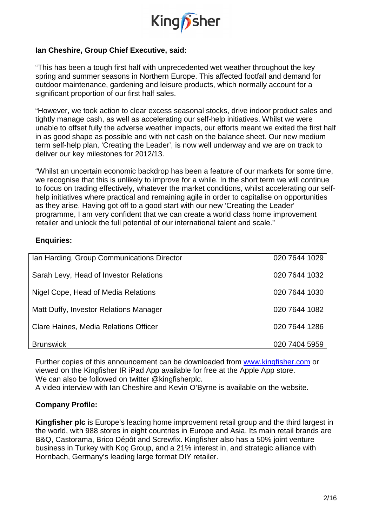

## **Ian Cheshire, Group Chief Executive, said:**

"This has been a tough first half with unprecedented wet weather throughout the key spring and summer seasons in Northern Europe. This affected footfall and demand for outdoor maintenance, gardening and leisure products, which normally account for a significant proportion of our first half sales.

"However, we took action to clear excess seasonal stocks, drive indoor product sales and tightly manage cash, as well as accelerating our self-help initiatives. Whilst we were unable to offset fully the adverse weather impacts, our efforts meant we exited the first half in as good shape as possible and with net cash on the balance sheet. Our new medium term self-help plan, 'Creating the Leader', is now well underway and we are on track to deliver our key milestones for 2012/13.

"Whilst an uncertain economic backdrop has been a feature of our markets for some time, we recognise that this is unlikely to improve for a while. In the short term we will continue to focus on trading effectively, whatever the market conditions, whilst accelerating our selfhelp initiatives where practical and remaining agile in order to capitalise on opportunities as they arise. Having got off to a good start with our new 'Creating the Leader' programme, I am very confident that we can create a world class home improvement retailer and unlock the full potential of our international talent and scale."

## **Enquiries:**

| Ian Harding, Group Communications Director | 020 7644 1029 |
|--------------------------------------------|---------------|
| Sarah Levy, Head of Investor Relations     | 020 7644 1032 |
| Nigel Cope, Head of Media Relations        | 020 7644 1030 |
| Matt Duffy, Investor Relations Manager     | 020 7644 1082 |
| Clare Haines, Media Relations Officer      | 020 7644 1286 |
| <b>Brunswick</b>                           | 020 7404 5959 |

Further copies of this announcement can be downloaded from www.kingfisher.com or viewed on the Kingfisher IR iPad App available for free at the Apple App store. We can also be followed on twitter @kingfisherplc.

A video interview with Ian Cheshire and Kevin O'Byrne is available on the website.

### **Company Profile:**

**Kingfisher plc** is Europe's leading home improvement retail group and the third largest in the world, with 988 stores in eight countries in Europe and Asia. Its main retail brands are B&Q, Castorama, Brico Dépôt and Screwfix. Kingfisher also has a 50% joint venture business in Turkey with Koç Group, and a 21% interest in, and strategic alliance with Hornbach, Germany's leading large format DIY retailer.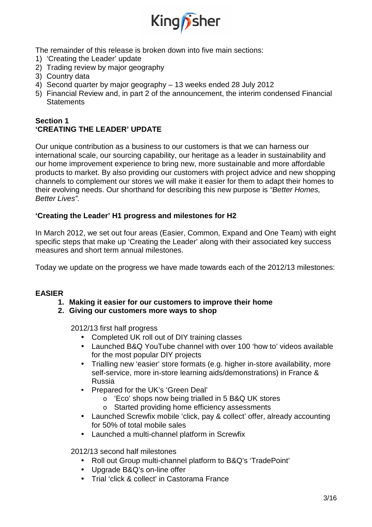

The remainder of this release is broken down into five main sections:

- 1) 'Creating the Leader' update
- 2) Trading review by major geography
- 3) Country data
- 4) Second quarter by major geography 13 weeks ended 28 July 2012
- 5) Financial Review and, in part 2 of the announcement, the interim condensed Financial **Statements**

## **Section 1 'CREATING THE LEADER' UPDATE**

Our unique contribution as a business to our customers is that we can harness our international scale, our sourcing capability, our heritage as a leader in sustainability and our home improvement experience to bring new, more sustainable and more affordable products to market. By also providing our customers with project advice and new shopping channels to complement our stores we will make it easier for them to adapt their homes to their evolving needs. Our shorthand for describing this new purpose is "Better Homes, Better Lives".

## **'Creating the Leader' H1 progress and milestones for H2**

In March 2012, we set out four areas (Easier, Common, Expand and One Team) with eight specific steps that make up 'Creating the Leader' along with their associated key success measures and short term annual milestones.

Today we update on the progress we have made towards each of the 2012/13 milestones:

## **EASIER**

- **1. Making it easier for our customers to improve their home**
- **2. Giving our customers more ways to shop**

2012/13 first half progress

- Completed UK roll out of DIY training classes
- Launched B&Q YouTube channel with over 100 'how to' videos available for the most popular DIY projects
- Trialling new 'easier' store formats (e.g. higher in-store availability, more self-service, more in-store learning aids/demonstrations) in France & Russia
- Prepared for the UK's 'Green Deal'
	- o 'Eco' shops now being trialled in 5 B&Q UK stores
	- o Started providing home efficiency assessments
- Launched Screwfix mobile 'click, pay & collect' offer, already accounting for 50% of total mobile sales
- Launched a multi-channel platform in Screwfix

2012/13 second half milestones

- Roll out Group multi-channel platform to B&Q's 'TradePoint'
- Upgrade B&Q's on-line offer
- Trial 'click & collect' in Castorama France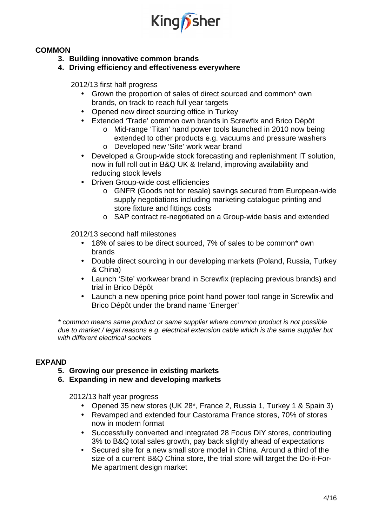

## **COMMON**

- **3. Building innovative common brands**
- **4. Driving efficiency and effectiveness everywhere**

2012/13 first half progress

- Grown the proportion of sales of direct sourced and common\* own brands, on track to reach full year targets
- Opened new direct sourcing office in Turkey
- Extended 'Trade' common own brands in Screwfix and Brico Dépôt
	- o Mid-range 'Titan' hand power tools launched in 2010 now being extended to other products e.g. vacuums and pressure washers
	- o Developed new 'Site' work wear brand
- Developed a Group-wide stock forecasting and replenishment IT solution, now in full roll out in B&Q UK & Ireland, improving availability and reducing stock levels
- Driven Group-wide cost efficiencies
	- o GNFR (Goods not for resale) savings secured from European-wide supply negotiations including marketing catalogue printing and store fixture and fittings costs
	- o SAP contract re-negotiated on a Group-wide basis and extended

2012/13 second half milestones

- 18% of sales to be direct sourced, 7% of sales to be common\* own brands
- Double direct sourcing in our developing markets (Poland, Russia, Turkey & China)
- Launch 'Site' workwear brand in Screwfix (replacing previous brands) and trial in Brico Dépôt
- Launch a new opening price point hand power tool range in Screwfix and Brico Dépôt under the brand name 'Energer'

\* common means same product or same supplier where common product is not possible due to market / legal reasons e.g. electrical extension cable which is the same supplier but with different electrical sockets

### **EXPAND**

- **5. Growing our presence in existing markets**
- **6. Expanding in new and developing markets**

2012/13 half year progress

- Opened 35 new stores (UK 28\*, France 2, Russia 1, Turkey 1 & Spain 3)
- Revamped and extended four Castorama France stores, 70% of stores now in modern format
- Successfully converted and integrated 28 Focus DIY stores, contributing 3% to B&Q total sales growth, pay back slightly ahead of expectations
- Secured site for a new small store model in China. Around a third of the size of a current B&Q China store, the trial store will target the Do-it-For-Me apartment design market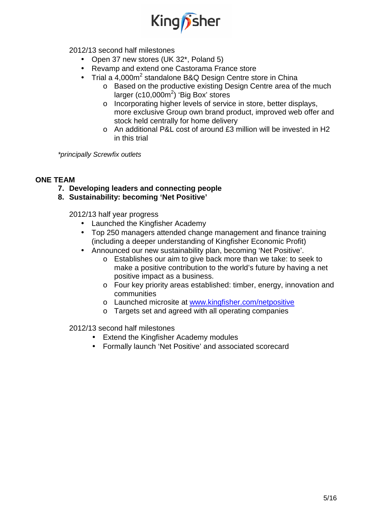

2012/13 second half milestones

- Open 37 new stores (UK 32\*, Poland 5)
- Revamp and extend one Castorama France store
- Trial a 4,000 $m^2$  standalone B&Q Design Centre store in China
	- o Based on the productive existing Design Centre area of the much larger (c10,000 $m^2$ ) 'Big Box' stores
	- o Incorporating higher levels of service in store, better displays, more exclusive Group own brand product, improved web offer and stock held centrally for home delivery
	- $\circ$  An additional P&L cost of around £3 million will be invested in H2 in this trial

\*principally Screwfix outlets

## **ONE TEAM**

- **7. Developing leaders and connecting people**
- **8. Sustainability: becoming 'Net Positive'**

2012/13 half year progress

- Launched the Kingfisher Academy
- Top 250 managers attended change management and finance training (including a deeper understanding of Kingfisher Economic Profit)
- Announced our new sustainability plan, becoming 'Net Positive'.
	- o Establishes our aim to give back more than we take: to seek to make a positive contribution to the world's future by having a net positive impact as a business.
	- o Four key priority areas established: timber, energy, innovation and communities
	- o Launched microsite at www.kingfisher.com/netpositive
	- o Targets set and agreed with all operating companies

2012/13 second half milestones

- Extend the Kingfisher Academy modules
- Formally launch 'Net Positive' and associated scorecard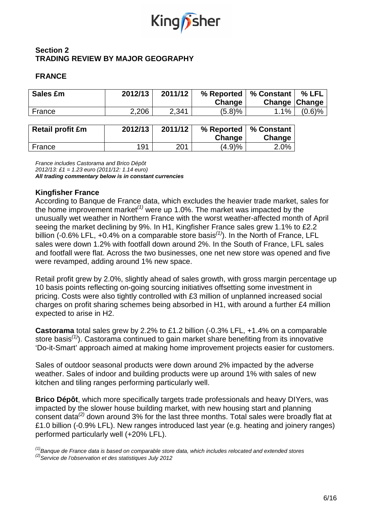

## **Section 2 TRADING REVIEW BY MAJOR GEOGRAPHY**

## **FRANCE**

| Sales £m                | 2012/13 | 2011/12 | % Reported<br>Change | % Constant<br>Change | $%$ LFL<br><b>Change</b> |
|-------------------------|---------|---------|----------------------|----------------------|--------------------------|
| France                  | 2,206   | 2,341   | (5.8)%               | 1.1%                 | $(0.6)$ %                |
|                         |         |         |                      |                      |                          |
| <b>Retail profit £m</b> | 2012/13 | 2011/12 | % Reported<br>Change | % Constant<br>Change |                          |

France 191 201 (4.9)% 2.0%

France includes Castorama and Brico Dépôt 2012/13: £1 = 1.23 euro (2011/12: 1.14 euro) **All trading commentary below is in constant currencies** 

## **Kingfisher France**

According to Banque de France data, which excludes the heavier trade market, sales for the home improvement market<sup>(1)</sup> were up 1.0%. The market was impacted by the unusually wet weather in Northern France with the worst weather-affected month of April seeing the market declining by 9%. In H1, Kingfisher France sales grew 1.1% to £2.2 billion (-0.6% LFL, +0.4% on a comparable store basis<sup>(1)</sup>). In the North of France, LFL sales were down 1.2% with footfall down around 2%. In the South of France, LFL sales and footfall were flat. Across the two businesses, one net new store was opened and five were revamped, adding around 1% new space.

Retail profit grew by 2.0%, slightly ahead of sales growth, with gross margin percentage up 10 basis points reflecting on-going sourcing initiatives offsetting some investment in pricing. Costs were also tightly controlled with £3 million of unplanned increased social charges on profit sharing schemes being absorbed in H1, with around a further £4 million expected to arise in H2.

**Castorama** total sales grew by 2.2% to £1.2 billion (-0.3% LFL, +1.4% on a comparable store basis<sup>(1)</sup>). Castorama continued to gain market share benefiting from its innovative 'Do-it-Smart' approach aimed at making home improvement projects easier for customers.

Sales of outdoor seasonal products were down around 2% impacted by the adverse weather. Sales of indoor and building products were up around 1% with sales of new kitchen and tiling ranges performing particularly well.

**Brico Dépôt**, which more specifically targets trade professionals and heavy DIYers, was impacted by the slower house building market, with new housing start and planning consent data<sup>(2)</sup> down around 3% for the last three months. Total sales were broadly flat at £1.0 billion (-0.9% LFL). New ranges introduced last year (e.g. heating and joinery ranges) performed particularly well (+20% LFL).

 $<sup>(1)</sup>$ Banque de France data is based on comparable store data, which includes relocated and extended stores</sup>  $^{(2)}$ Service de l'observation et des statistiques July 2012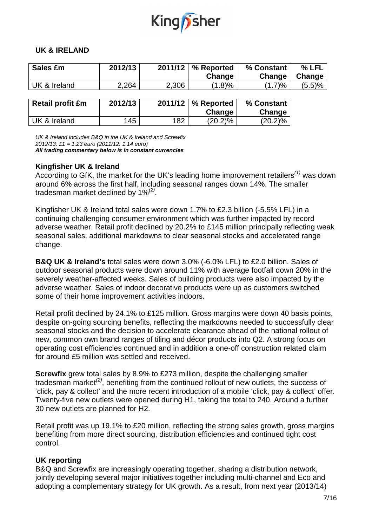

### **UK & IRELAND**

| Sales £m                | 2012/13 | 2011/12 | % Reported           | % Constant | % LFL  |
|-------------------------|---------|---------|----------------------|------------|--------|
|                         |         |         | Change               | Change     | Change |
| UK & Ireland            | 2,264   | 2,306   | (1.8)%               | (1.7)%     | (5.5)% |
|                         |         |         |                      |            |        |
| <b>Retail profit £m</b> | 2012/13 |         | $2011/12$ % Reported | % Constant |        |
|                         |         |         | Change               | Change     |        |
| UK & Ireland            | 145     | 182     | $(20.2)\%$           | $(20.2)\%$ |        |

UK & Ireland includes B&Q in the UK & Ireland and Screwfix

2012/13: £1 = 1.23 euro (2011/12: 1.14 euro)

**All trading commentary below is in constant currencies** 

## **Kingfisher UK & Ireland**

According to GfK, the market for the UK's leading home improvement retailers<sup>(1)</sup> was down around 6% across the first half, including seasonal ranges down 14%. The smaller tradesman market declined by 1% $^{(2)}$ .

Kingfisher UK & Ireland total sales were down 1.7% to £2.3 billion (-5.5% LFL) in a continuing challenging consumer environment which was further impacted by record adverse weather. Retail profit declined by 20.2% to £145 million principally reflecting weak seasonal sales, additional markdowns to clear seasonal stocks and accelerated range change.

**B&Q UK & Ireland's** total sales were down 3.0% (-6.0% LFL) to £2.0 billion. Sales of outdoor seasonal products were down around 11% with average footfall down 20% in the severely weather-affected weeks. Sales of building products were also impacted by the adverse weather. Sales of indoor decorative products were up as customers switched some of their home improvement activities indoors.

Retail profit declined by 24.1% to £125 million. Gross margins were down 40 basis points, despite on-going sourcing benefits, reflecting the markdowns needed to successfully clear seasonal stocks and the decision to accelerate clearance ahead of the national rollout of new, common own brand ranges of tiling and décor products into Q2. A strong focus on operating cost efficiencies continued and in addition a one-off construction related claim for around £5 million was settled and received.

**Screwfix** grew total sales by 8.9% to £273 million, despite the challenging smaller tradesman market $^{(2)}$ , benefiting from the continued rollout of new outlets, the success of 'click, pay & collect' and the more recent introduction of a mobile 'click, pay & collect' offer. Twenty-five new outlets were opened during H1, taking the total to 240. Around a further 30 new outlets are planned for H2.

Retail profit was up 19.1% to £20 million, reflecting the strong sales growth, gross margins benefiting from more direct sourcing, distribution efficiencies and continued tight cost control.

## **UK reporting**

B&Q and Screwfix are increasingly operating together, sharing a distribution network, jointly developing several major initiatives together including multi-channel and Eco and adopting a complementary strategy for UK growth. As a result, from next year (2013/14)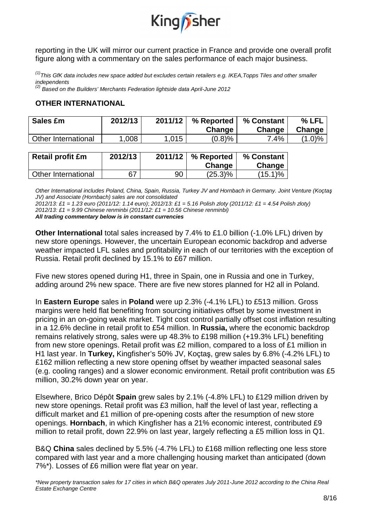

reporting in the UK will mirror our current practice in France and provide one overall profit figure along with a commentary on the sales performance of each major business.

 $^{(1)}$ This GfK data includes new space added but excludes certain retailers e.g. IKEA, Topps Tiles and other smaller independents

 $^{(2)}$  Based on the Builders' Merchants Federation lightside data April-June 2012

### **OTHER INTERNATIONAL**

| Sales £m            | 2012/13 | 2011/12 | % Reported<br>Change | % Constant<br>Change | % LFL<br>Change |
|---------------------|---------|---------|----------------------|----------------------|-----------------|
| Other International | 1,008   | .015    | (0.8)%               | 7.4%                 | $(1.0)\%$       |

| Retail profit £m    | 2012/13 |    | 2011/12   % Reported '<br>Change | % Constant<br>Change |
|---------------------|---------|----|----------------------------------|----------------------|
| Other International | 67      | 90 | $(25.3)\%$                       | $(15.1)\%$           |

Other International includes Poland, China, Spain, Russia, Turkey JV and Hornbach in Germany. Joint Venture (Koçtaş JV) and Associate (Hornbach) sales are not consolidated

2012/13: £1 = 1.23 euro (2011/12: 1.14 euro); 2012/13: £1 = 5.16 Polish zloty (2011/12: £1 = 4.54 Polish zloty) 2012/13: £1 = 9.99 Chinese renminbi (2011/12: £1 = 10.56 Chinese renminbi) **All trading commentary below is in constant currencies** 

**Other International** total sales increased by 7.4% to £1.0 billion (-1.0% LFL) driven by new store openings. However, the uncertain European economic backdrop and adverse weather impacted LFL sales and profitability in each of our territories with the exception of Russia. Retail profit declined by 15.1% to £67 million.

Five new stores opened during H1, three in Spain, one in Russia and one in Turkey, adding around 2% new space. There are five new stores planned for H2 all in Poland.

In **Eastern Europe** sales in **Poland** were up 2.3% (-4.1% LFL) to £513 million. Gross margins were held flat benefiting from sourcing initiatives offset by some investment in pricing in an on-going weak market. Tight cost control partially offset cost inflation resulting in a 12.6% decline in retail profit to £54 million. In **Russia,** where the economic backdrop remains relatively strong, sales were up 48.3% to £198 million (+19.3% LFL) benefiting from new store openings. Retail profit was £2 million, compared to a loss of £1 million in H1 last year. In **Turkey,** Kingfisher's 50% JV, Koçtaş, grew sales by 6.8% (-4.2% LFL) to £162 million reflecting a new store opening offset by weather impacted seasonal sales (e.g. cooling ranges) and a slower economic environment. Retail profit contribution was £5 million, 30.2% down year on year.

Elsewhere, Brico Dépôt **Spain** grew sales by 2.1% (-4.8% LFL) to £129 million driven by new store openings. Retail profit was £3 million, half the level of last year, reflecting a difficult market and £1 million of pre-opening costs after the resumption of new store openings. **Hornbach**, in which Kingfisher has a 21% economic interest, contributed £9 million to retail profit, down 22.9% on last year, largely reflecting a £5 million loss in Q1.

B&Q **China** sales declined by 5.5% (-4.7% LFL) to £168 million reflecting one less store compared with last year and a more challenging housing market than anticipated (down 7%\*). Losses of £6 million were flat year on year.

\*New property transaction sales for 17 cities in which B&Q operates July 2011-June 2012 according to the China Real Estate Exchange Centre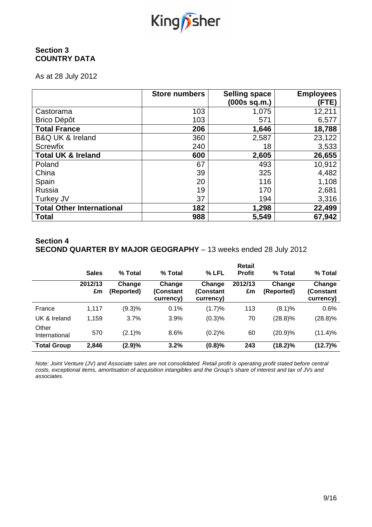

## **Section 3 COUNTRY DATA**

As at 28 July 2012

|                                  | <b>Store numbers</b> | <b>Selling space</b><br>(000s sq.m.) | <b>Employees</b><br>(FTE) |
|----------------------------------|----------------------|--------------------------------------|---------------------------|
| Castorama                        | 103                  | 1,075                                | 12,211                    |
| <b>Brico Dépôt</b>               | 103                  | 571                                  | 6,577                     |
| <b>Total France</b>              | 206                  | 1,646                                | 18,788                    |
| <b>B&amp;Q UK &amp; Ireland</b>  | 360                  | 2,587                                | 23,122                    |
| <b>Screwfix</b>                  | 240                  | 18                                   | 3,533                     |
| <b>Total UK &amp; Ireland</b>    | 600                  | 2,605                                | 26,655                    |
| Poland                           | 67                   | 493                                  | 10,912                    |
| China                            | 39                   | 325                                  | 4,482                     |
| Spain                            | 20                   | 116                                  | 1,108                     |
| <b>Russia</b>                    | 19                   | 170                                  | 2,681                     |
| Turkey JV                        | 37                   | 194                                  | 3,316                     |
| <b>Total Other International</b> | 182                  | 1,298                                | 22,499                    |
| <b>Total</b>                     | 988                  | 5,549                                | 67,942                    |

## **Section 4 SECOND QUARTER BY MAJOR GEOGRAPHY** – 13 weeks ended 28 July 2012

|                        | <b>Sales</b>  | % Total              | % Total                          | % LFL                             | Retail<br><b>Profit</b> | % Total              | % Total                          |
|------------------------|---------------|----------------------|----------------------------------|-----------------------------------|-------------------------|----------------------|----------------------------------|
|                        | 2012/13<br>£m | Change<br>(Reported) | Change<br>(Constant<br>currency) | Change<br>(Constant)<br>currency) | 2012/13<br>£m           | Change<br>(Reported) | Change<br>(Constant<br>currency) |
| France                 | 1,117         | (9.3)%               | 0.1%                             | (1.7)%                            | 113                     | (8.1)%               | 0.6%                             |
| UK & Ireland           | 1,159         | 3.7%                 | 3.9%                             | (0.3)%                            | 70                      | $(28.8)\%$           | $(28.8)\%$                       |
| Other<br>International | 570           | (2.1)%               | 8.6%                             | (0.2)%                            | 60                      | (20.9)%              | $(11.4)\%$                       |
| <b>Total Group</b>     | 2,846         | (2.9)%               | 3.2%                             | (0.8)%                            | 243                     | $(18.2)\%$           | $(12.7)\%$                       |

Note: Joint Venture (JV) and Associate sales are not consolidated. Retail profit is operating profit stated before central costs, exceptional items, amortisation of acquisition intangibles and the Group's share of interest and tax of JVs and associates.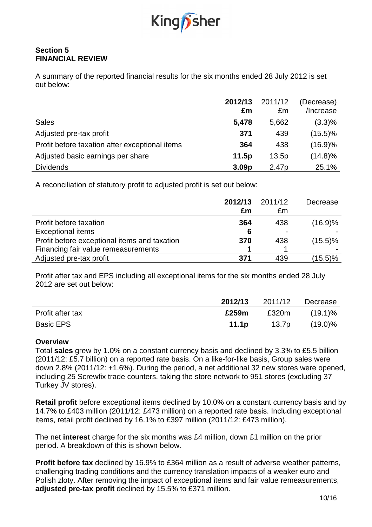

## **Section 5 FINANCIAL REVIEW**

A summary of the reported financial results for the six months ended 28 July 2012 is set out below:

|                                                | 2012/13<br>£m     | 2011/12<br>£m     | (Decrease)<br>/Increase |
|------------------------------------------------|-------------------|-------------------|-------------------------|
| <b>Sales</b>                                   | 5,478             | 5,662             | $(3.3)\%$               |
| Adjusted pre-tax profit                        | 371               | 439               | $(15.5)\%$              |
| Profit before taxation after exceptional items | 364               | 438               | $(16.9)\%$              |
| Adjusted basic earnings per share              | 11.5p             | 13.5p             | $(14.8)\%$              |
| <b>Dividends</b>                               | 3.09 <sub>p</sub> | 2.47 <sub>p</sub> | 25.1%                   |

A reconciliation of statutory profit to adjusted profit is set out below:

|                                              | 2012/13<br>£m | 2011/12<br>£m  | Decrease   |
|----------------------------------------------|---------------|----------------|------------|
| Profit before taxation                       | 364           | 438            | (16.9)%    |
| <b>Exceptional items</b>                     | 6             | $\blacksquare$ |            |
| Profit before exceptional items and taxation | 370           | 438            | $(15.5)\%$ |
| Financing fair value remeasurements          |               |                |            |
| Adjusted pre-tax profit                      | 371           | 439            | $(15.5)\%$ |

Profit after tax and EPS including all exceptional items for the six months ended 28 July 2012 are set out below:

|                  | 2012/13           | 2011/12 | Decrease   |
|------------------|-------------------|---------|------------|
| Profit after tax | £259m             | £320m   | $(19.1)\%$ |
| <b>Basic EPS</b> | 11.1 <sub>p</sub> | 13.7p   | $(19.0)\%$ |

### **Overview**

Total **sales** grew by 1.0% on a constant currency basis and declined by 3.3% to £5.5 billion (2011/12: £5.7 billion) on a reported rate basis. On a like-for-like basis, Group sales were down 2.8% (2011/12: +1.6%). During the period, a net additional 32 new stores were opened, including 25 Screwfix trade counters, taking the store network to 951 stores (excluding 37 Turkey JV stores).

**Retail profit** before exceptional items declined by 10.0% on a constant currency basis and by 14.7% to £403 million (2011/12: £473 million) on a reported rate basis. Including exceptional items, retail profit declined by 16.1% to £397 million (2011/12: £473 million).

The net **interest** charge for the six months was £4 million, down £1 million on the prior period. A breakdown of this is shown below.

**Profit before tax** declined by 16.9% to £364 million as a result of adverse weather patterns, challenging trading conditions and the currency translation impacts of a weaker euro and Polish zloty. After removing the impact of exceptional items and fair value remeasurements, **adjusted pre-tax profit** declined by 15.5% to £371 million.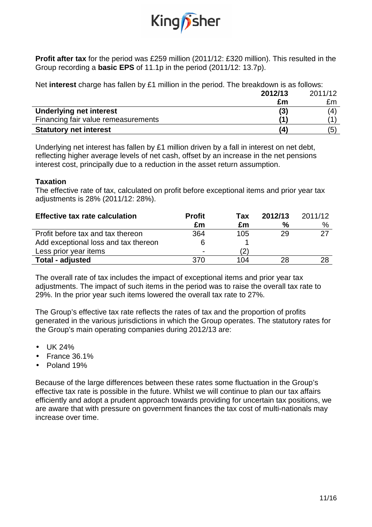

**Profit after tax** for the period was £259 million (2011/12: £320 million). This resulted in the Group recording a **basic EPS** of 11.1p in the period (2011/12: 13.7p).

Net **interest** charge has fallen by £1 million in the period. The breakdown is as follows:

|                                     | 2012/13 | 2011/12 |
|-------------------------------------|---------|---------|
|                                     | £m      | £m      |
| <b>Underlying net interest</b>      | (3)     | (4      |
| Financing fair value remeasurements | 11      |         |
| <b>Statutory net interest</b>       | 14      | (5      |
|                                     |         |         |

Underlying net interest has fallen by £1 million driven by a fall in interest on net debt, reflecting higher average levels of net cash, offset by an increase in the net pensions interest cost, principally due to a reduction in the asset return assumption.

### **Taxation**

The effective rate of tax, calculated on profit before exceptional items and prior year tax adjustments is 28% (2011/12: 28%).

| <b>Effective tax rate calculation</b> | <b>Profit</b>  | Tax | 2012/13       | 2011/12 |
|---------------------------------------|----------------|-----|---------------|---------|
|                                       | £m             | £m  | $\frac{6}{6}$ | $\%$    |
| Profit before tax and tax thereon     | 364            | 105 | 29            | 27      |
| Add exceptional loss and tax thereon  | 6              |     |               |         |
| Less prior year items                 | $\blacksquare$ |     |               |         |
| <b>Total - adjusted</b>               | 370            | 104 | 28            | 28      |

The overall rate of tax includes the impact of exceptional items and prior year tax adjustments. The impact of such items in the period was to raise the overall tax rate to 29%. In the prior year such items lowered the overall tax rate to 27%.

The Group's effective tax rate reflects the rates of tax and the proportion of profits generated in the various jurisdictions in which the Group operates. The statutory rates for the Group's main operating companies during 2012/13 are:

- UK 24%
- France 36.1%
- Poland 19%

Because of the large differences between these rates some fluctuation in the Group's effective tax rate is possible in the future. Whilst we will continue to plan our tax affairs efficiently and adopt a prudent approach towards providing for uncertain tax positions, we are aware that with pressure on government finances the tax cost of multi-nationals may increase over time.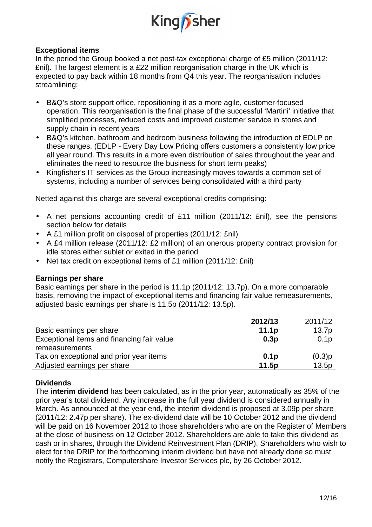

## **Exceptional items**

In the period the Group booked a net post-tax exceptional charge of £5 million (2011/12: £nil). The largest element is a £22 million reorganisation charge in the UK which is expected to pay back within 18 months from Q4 this year. The reorganisation includes streamlining:

- B&Q's store support office, repositioning it as a more agile, customer-focused operation. This reorganisation is the final phase of the successful 'Martini' initiative that simplified processes, reduced costs and improved customer service in stores and supply chain in recent years
- B&Q's kitchen, bathroom and bedroom business following the introduction of EDLP on these ranges. (EDLP - Every Day Low Pricing offers customers a consistently low price all year round. This results in a more even distribution of sales throughout the year and eliminates the need to resource the business for short term peaks)
- Kingfisher's IT services as the Group increasingly moves towards a common set of systems, including a number of services being consolidated with a third party

Netted against this charge are several exceptional credits comprising:

- A net pensions accounting credit of £11 million (2011/12: £nil), see the pensions section below for details
- A £1 million profit on disposal of properties (2011/12: £nil)
- A £4 million release (2011/12: £2 million) of an onerous property contract provision for idle stores either sublet or exited in the period
- Net tax credit on exceptional items of £1 million (2011/12: £nil)

### **Earnings per share**

Basic earnings per share in the period is 11.1p (2011/12: 13.7p). On a more comparable basis, removing the impact of exceptional items and financing fair value remeasurements, adjusted basic earnings per share is 11.5p (2011/12: 13.5p).

|                                            | 2012/13           | 2011/12          |
|--------------------------------------------|-------------------|------------------|
| Basic earnings per share                   | 11.1 <sub>p</sub> | 13.7p            |
| Exceptional items and financing fair value | 0.3p              | 0.1 <sub>p</sub> |
| remeasurements                             |                   |                  |
| Tax on exceptional and prior year items    | 0.1 <sub>D</sub>  | (0.3)p           |
| Adjusted earnings per share                | 11.5p             | 13.5p            |

### **Dividends**

The **interim dividend** has been calculated, as in the prior year, automatically as 35% of the prior year's total dividend. Any increase in the full year dividend is considered annually in March. As announced at the year end, the interim dividend is proposed at 3.09p per share (2011/12: 2.47p per share). The ex-dividend date will be 10 October 2012 and the dividend will be paid on 16 November 2012 to those shareholders who are on the Register of Members at the close of business on 12 October 2012. Shareholders are able to take this dividend as cash or in shares, through the Dividend Reinvestment Plan (DRIP). Shareholders who wish to elect for the DRIP for the forthcoming interim dividend but have not already done so must notify the Registrars, Computershare Investor Services plc, by 26 October 2012.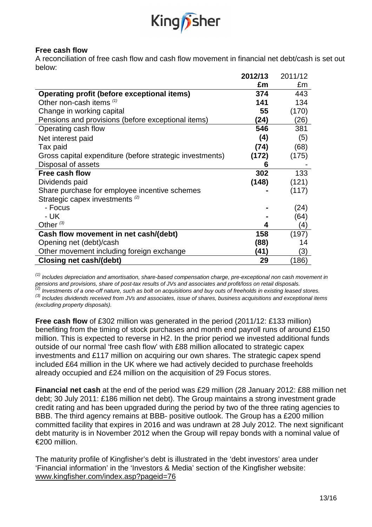

### **Free cash flow**

A reconciliation of free cash flow and cash flow movement in financial net debt/cash is set out below:

|                                                          | 2012/13 | 2011/12 |
|----------------------------------------------------------|---------|---------|
|                                                          | £m      | £m      |
| <b>Operating profit (before exceptional items)</b>       | 374     | 443     |
| Other non-cash items (1)                                 | 141     | 134     |
| Change in working capital                                | 55      | (170)   |
| Pensions and provisions (before exceptional items)       | (24)    | (26)    |
| Operating cash flow                                      | 546     | 381     |
| Net interest paid                                        | (4)     | (5)     |
| Tax paid                                                 | (74)    | (68)    |
| Gross capital expenditure (before strategic investments) | (172)   | (175)   |
| Disposal of assets                                       | 6       |         |
| <b>Free cash flow</b>                                    | 302     | 133     |
| Dividends paid                                           | (148)   | (121)   |
| Share purchase for employee incentive schemes            |         | (117)   |
| Strategic capex investments <sup>(2)</sup>               |         |         |
| - Focus                                                  |         | (24)    |
| - UK                                                     |         | (64)    |
| Other $(3)$                                              | 4       | (4)     |
| Cash flow movement in net cash/(debt)                    | 158     | (197)   |
| Opening net (debt)/cash                                  | (88)    | 14      |
| Other movement including foreign exchange                | (41)    | (3)     |
| <b>Closing net cash/(debt)</b>                           | 29      | (186)   |

 $<sup>(1)</sup>$  Includes depreciation and amortisation, share-based compensation charge, pre-exceptional non cash movement in</sup> pensions and provisions, share of post-tax results of JVs and associates and profit/loss on retail disposals.  $\alpha^{(2)}$  Investments of a one-off nature, such as bolt on acquisitions and buy outs of freeholds in existing leased stores.  $^{(3)}$  Includes dividends received from JVs and associates, issue of shares, business acquisitions and exceptional items

(excluding property disposals).

**Free cash flow** of £302 million was generated in the period (2011/12: £133 million) benefiting from the timing of stock purchases and month end payroll runs of around £150 million. This is expected to reverse in H2. In the prior period we invested additional funds outside of our normal 'free cash flow' with £88 million allocated to strategic capex investments and £117 million on acquiring our own shares. The strategic capex spend included £64 million in the UK where we had actively decided to purchase freeholds already occupied and £24 million on the acquisition of 29 Focus stores.

**Financial net cash** at the end of the period was £29 million (28 January 2012: £88 million net debt; 30 July 2011: £186 million net debt). The Group maintains a strong investment grade credit rating and has been upgraded during the period by two of the three rating agencies to BBB. The third agency remains at BBB- positive outlook. The Group has a £200 million committed facility that expires in 2016 and was undrawn at 28 July 2012. The next significant debt maturity is in November 2012 when the Group will repay bonds with a nominal value of €200 million.

The maturity profile of Kingfisher's debt is illustrated in the 'debt investors' area under 'Financial information' in the 'Investors & Media' section of the Kingfisher website: www.kingfisher.com/index.asp?pageid=76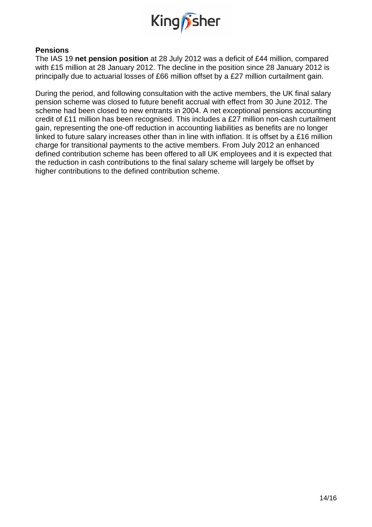

### **Pensions**

The IAS 19 **net pension position** at 28 July 2012 was a deficit of £44 million, compared with £15 million at 28 January 2012. The decline in the position since 28 January 2012 is principally due to actuarial losses of £66 million offset by a £27 million curtailment gain.

During the period, and following consultation with the active members, the UK final salary pension scheme was closed to future benefit accrual with effect from 30 June 2012. The scheme had been closed to new entrants in 2004. A net exceptional pensions accounting credit of £11 million has been recognised. This includes a £27 million non-cash curtailment gain, representing the one-off reduction in accounting liabilities as benefits are no longer linked to future salary increases other than in line with inflation. It is offset by a £16 million charge for transitional payments to the active members. From July 2012 an enhanced defined contribution scheme has been offered to all UK employees and it is expected that the reduction in cash contributions to the final salary scheme will largely be offset by higher contributions to the defined contribution scheme.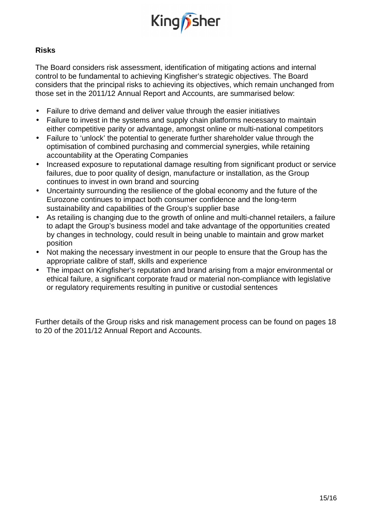

## **Risks**

The Board considers risk assessment, identification of mitigating actions and internal control to be fundamental to achieving Kingfisher's strategic objectives. The Board considers that the principal risks to achieving its objectives, which remain unchanged from those set in the 2011/12 Annual Report and Accounts, are summarised below:

- Failure to drive demand and deliver value through the easier initiatives
- Failure to invest in the systems and supply chain platforms necessary to maintain either competitive parity or advantage, amongst online or multi-national competitors
- Failure to 'unlock' the potential to generate further shareholder value through the optimisation of combined purchasing and commercial synergies, while retaining accountability at the Operating Companies
- Increased exposure to reputational damage resulting from significant product or service failures, due to poor quality of design, manufacture or installation, as the Group continues to invest in own brand and sourcing
- Uncertainty surrounding the resilience of the global economy and the future of the Eurozone continues to impact both consumer confidence and the long-term sustainability and capabilities of the Group's supplier base
- As retailing is changing due to the growth of online and multi-channel retailers, a failure to adapt the Group's business model and take advantage of the opportunities created by changes in technology, could result in being unable to maintain and grow market position
- Not making the necessary investment in our people to ensure that the Group has the appropriate calibre of staff, skills and experience
- The impact on Kingfisher's reputation and brand arising from a major environmental or ethical failure, a significant corporate fraud or material non-compliance with legislative or regulatory requirements resulting in punitive or custodial sentences

Further details of the Group risks and risk management process can be found on pages 18 to 20 of the 2011/12 Annual Report and Accounts.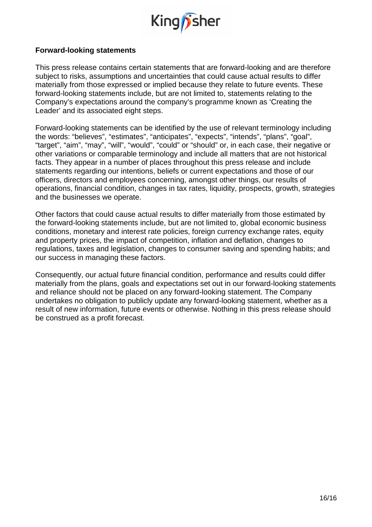

### **Forward-looking statements**

This press release contains certain statements that are forward-looking and are therefore subject to risks, assumptions and uncertainties that could cause actual results to differ materially from those expressed or implied because they relate to future events. These forward-looking statements include, but are not limited to, statements relating to the Company's expectations around the company's programme known as 'Creating the Leader' and its associated eight steps.

Forward-looking statements can be identified by the use of relevant terminology including the words: "believes", "estimates", "anticipates", "expects", "intends", "plans", "goal", "target", "aim", "may", "will", "would", "could" or "should" or, in each case, their negative or other variations or comparable terminology and include all matters that are not historical facts. They appear in a number of places throughout this press release and include statements regarding our intentions, beliefs or current expectations and those of our officers, directors and employees concerning, amongst other things, our results of operations, financial condition, changes in tax rates, liquidity, prospects, growth, strategies and the businesses we operate.

Other factors that could cause actual results to differ materially from those estimated by the forward-looking statements include, but are not limited to, global economic business conditions, monetary and interest rate policies, foreign currency exchange rates, equity and property prices, the impact of competition, inflation and deflation, changes to regulations, taxes and legislation, changes to consumer saving and spending habits; and our success in managing these factors.

Consequently, our actual future financial condition, performance and results could differ materially from the plans, goals and expectations set out in our forward-looking statements and reliance should not be placed on any forward-looking statement. The Company undertakes no obligation to publicly update any forward-looking statement, whether as a result of new information, future events or otherwise. Nothing in this press release should be construed as a profit forecast.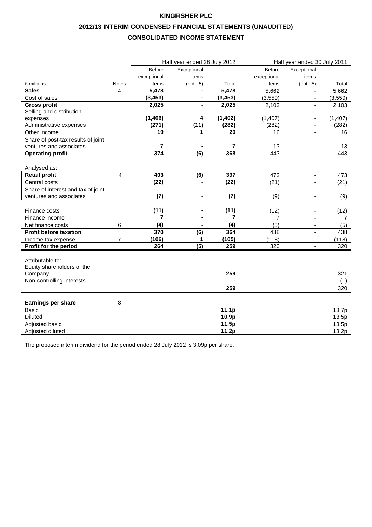# **2012/13 INTERIM CONDENSED FINANCIAL STATEMENTS (UNAUDITED)**

### **CONSOLIDATED INCOME STATEMENT**

|                                    |              |                | Half year ended 28 July 2012 |                          | Half year ended 30 July 2011 |                          |          |
|------------------------------------|--------------|----------------|------------------------------|--------------------------|------------------------------|--------------------------|----------|
|                                    |              | <b>Before</b>  | Exceptional                  |                          | <b>Before</b>                | Exceptional              |          |
|                                    |              | exceptional    | items                        |                          | exceptional                  | items                    |          |
| £ millions                         | <b>Notes</b> | items          | (note 5)                     | Total                    | items                        | (note 5)                 | Total    |
| <b>Sales</b>                       | 4            | 5,478          | $\blacksquare$               | 5,478                    | 5,662                        | $\blacksquare$           | 5,662    |
| Cost of sales                      |              | (3, 453)       | $\qquad \qquad \blacksquare$ | (3, 453)                 | (3, 559)                     | $\overline{\phantom{a}}$ | (3, 559) |
| <b>Gross profit</b>                |              | 2,025          | ÷,                           | 2,025                    | 2,103                        | $\blacksquare$           | 2,103    |
| Selling and distribution           |              |                |                              |                          |                              |                          |          |
| expenses                           |              | (1, 406)       | 4                            | (1, 402)                 | (1, 407)                     |                          | (1, 407) |
| Administrative expenses            |              | (271)          | (11)                         | (282)                    | (282)                        |                          | (282)    |
| Other income                       |              | 19             | 1                            | 20                       | 16                           |                          | 16       |
| Share of post-tax results of joint |              |                |                              |                          |                              |                          |          |
| ventures and associates            |              | $\overline{7}$ |                              | $\overline{\phantom{a}}$ | 13                           |                          | 13       |
| <b>Operating profit</b>            |              | 374            | (6)                          | 368                      | 443                          |                          | 443      |
|                                    |              |                |                              |                          |                              |                          |          |
| Analysed as:                       |              |                |                              |                          |                              |                          |          |
| <b>Retail profit</b>               | 4            | 403            | (6)                          | 397                      | 473                          | $\blacksquare$           | 473      |
| Central costs                      |              | (22)           |                              | (22)                     | (21)                         |                          | (21)     |
| Share of interest and tax of joint |              |                |                              |                          |                              |                          |          |
| ventures and associates            |              | (7)            |                              | (7)                      | (9)                          |                          | (9)      |
|                                    |              |                |                              |                          |                              |                          |          |
| Finance costs                      |              | (11)           |                              | (11)                     | (12)                         |                          | (12)     |
| Finance income                     |              | 7              |                              | 7                        | 7                            |                          | 7        |
| Net finance costs                  | 6            | (4)            | ä,                           | (4)                      | (5)                          | $\overline{\phantom{a}}$ | (5)      |
| <b>Profit before taxation</b>      |              | 370            | (6)                          | 364                      | 438                          | ä,                       | 438      |
| Income tax expense                 | 7            | (106)          | 1                            | (105)                    | (118)                        |                          | (118)    |
| Profit for the period              |              | 264            | $\overline{(5)}$             | 259                      | 320                          |                          | 320      |
|                                    |              |                |                              |                          |                              |                          |          |
| Attributable to:                   |              |                |                              |                          |                              |                          |          |
| Equity shareholders of the         |              |                |                              |                          |                              |                          |          |
| Company                            |              |                |                              | 259                      |                              |                          | 321      |
| Non-controlling interests          |              |                |                              |                          |                              |                          | (1)      |
|                                    |              |                |                              | 259                      |                              |                          | 320      |
|                                    |              |                |                              |                          |                              |                          |          |
| <b>Earnings per share</b>          | 8            |                |                              |                          |                              |                          |          |
| <b>Basic</b>                       |              |                |                              | 11.1p                    |                              |                          | 13.7p    |
| <b>Diluted</b>                     |              |                |                              | 10.9p                    |                              |                          | 13.5p    |
| Adjusted basic                     |              |                |                              | 11.5p                    |                              |                          | 13.5p    |
| Adjusted diluted                   |              |                |                              | 11.2p                    |                              |                          | 13.2p    |

The proposed interim dividend for the period ended 28 July 2012 is 3.09p per share.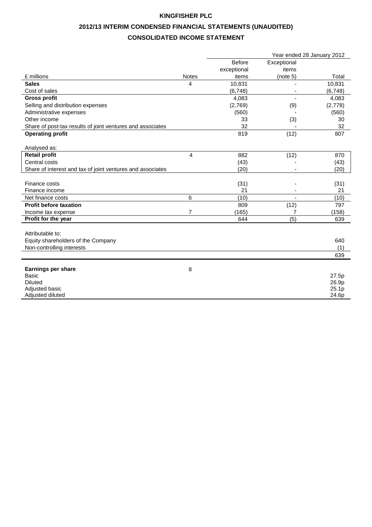# **2012/13 INTERIM CONDENSED FINANCIAL STATEMENTS (UNAUDITED)**

### **CONSOLIDATED INCOME STATEMENT**

|                                                            |                | Year ended 28 January 2012 |             |         |  |
|------------------------------------------------------------|----------------|----------------------------|-------------|---------|--|
|                                                            |                | <b>Before</b>              | Exceptional |         |  |
|                                                            |                | exceptional                | items       |         |  |
| £ millions                                                 | <b>Notes</b>   | items                      | (note 5)    | Total   |  |
| <b>Sales</b>                                               | 4              | 10,831                     |             | 10,831  |  |
| Cost of sales                                              |                | (6,748)                    |             | (6,748) |  |
| <b>Gross profit</b>                                        |                | 4,083                      |             | 4,083   |  |
| Selling and distribution expenses                          |                | (2,769)                    | (9)         | (2,778) |  |
| Administrative expenses                                    |                | (560)                      |             | (560)   |  |
| Other income                                               |                | 33                         | (3)         | 30      |  |
| Share of post-tax results of joint ventures and associates |                | 32                         |             | 32      |  |
| <b>Operating profit</b>                                    |                | 819                        | (12)        | 807     |  |
|                                                            |                |                            |             |         |  |
| Analysed as:                                               |                |                            |             |         |  |
| <b>Retail profit</b>                                       | 4              | 882                        | (12)        | 870     |  |
| Central costs                                              |                | (43)                       |             | (43)    |  |
| Share of interest and tax of joint ventures and associates |                | (20)                       |             | (20)    |  |
|                                                            |                |                            |             |         |  |
| Finance costs                                              |                | (31)                       |             | (31)    |  |
| Finance income                                             |                | 21                         |             | 21      |  |
| Net finance costs                                          | 6              | (10)                       |             | (10)    |  |
| <b>Profit before taxation</b>                              |                | 809                        | (12)        | 797     |  |
| Income tax expense                                         | $\overline{7}$ | (165)                      | 7           | (158)   |  |
| Profit for the year                                        |                | 644                        | (5)         | 639     |  |
|                                                            |                |                            |             |         |  |
| Attributable to:                                           |                |                            |             |         |  |
| Equity shareholders of the Company                         |                |                            |             | 640     |  |
| Non-controlling interests                                  |                |                            |             | (1)     |  |
|                                                            |                |                            |             | 639     |  |
|                                                            |                |                            |             |         |  |
| <b>Earnings per share</b>                                  | 8              |                            |             |         |  |
| <b>Basic</b>                                               |                |                            |             | 27.5p   |  |
| <b>Diluted</b>                                             |                |                            |             | 26.9p   |  |
| Adjusted basic                                             |                |                            |             | 25.1p   |  |
| Adjusted diluted                                           |                |                            |             | 24.6p   |  |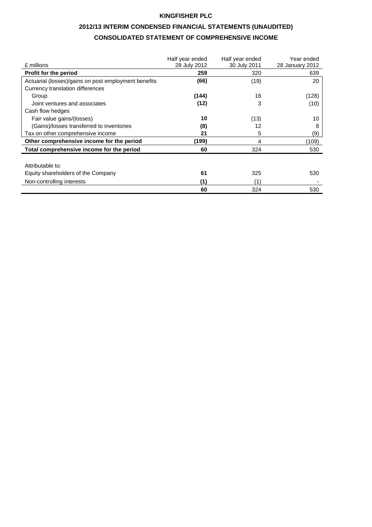## **2012/13 INTERIM CONDENSED FINANCIAL STATEMENTS (UNAUDITED) CONSOLIDATED STATEMENT OF COMPREHENSIVE INCOME**

|                                                      | Half year ended | Half year ended | Year ended      |
|------------------------------------------------------|-----------------|-----------------|-----------------|
| £ millions                                           | 28 July 2012    | 30 July 2011    | 28 January 2012 |
| <b>Profit for the period</b>                         | 259             | 320             | 639             |
| Actuarial (losses)/gains on post employment benefits | (66)            | (19)            | 20              |
| Currency translation differences                     |                 |                 |                 |
| Group                                                | (144)           | 16              | (128)           |
| Joint ventures and associates                        | (12)            | 3               | (10)            |
| Cash flow hedges                                     |                 |                 |                 |
| Fair value gains/(losses)                            | 10              | (13)            | 10              |
| (Gains)/losses transferred to inventories            | (8)             | 12              | 8               |
| Tax on other comprehensive income                    | 21              | 5               | (9)             |
| Other comprehensive income for the period            | (199)           | 4               | (109)           |
| Total comprehensive income for the period            | 60              | 324             | 530             |
|                                                      |                 |                 |                 |
| Attributable to:                                     |                 |                 |                 |
| Equity shareholders of the Company                   | 61              | 325             | 530             |
| Non-controlling interests                            | (1)             | (1)             |                 |
|                                                      | 60              | 324             | 530             |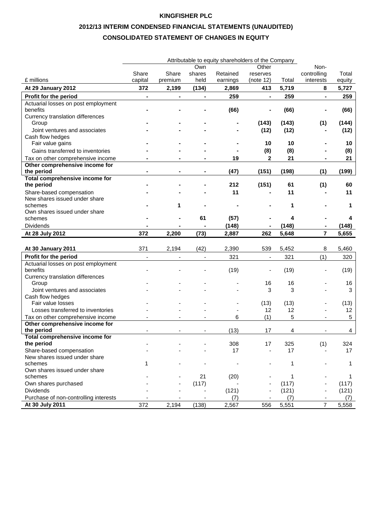## **2012/13 INTERIM CONDENSED FINANCIAL STATEMENTS (UNAUDITED) CONSOLIDATED STATEMENT OF CHANGES IN EQUITY**

|                                              | Attributable to equity shareholders of the Company |                |                |          |                          |       |                |        |
|----------------------------------------------|----------------------------------------------------|----------------|----------------|----------|--------------------------|-------|----------------|--------|
|                                              |                                                    |                | Own            |          | Other                    |       | Non-           |        |
|                                              | Share                                              | Share          | shares         | Retained | reserves                 |       | controlling    | Total  |
| £ millions                                   | capital                                            | premium        | held           | earnings | (note 12)                | Total | interests      | equity |
| At 29 January 2012                           | 372                                                | 2,199          | (134)          | 2,869    | 413                      | 5,719 | 8              | 5,727  |
| Profit for the period                        | ÷,                                                 | $\blacksquare$ | $\blacksquare$ | 259      | $\blacksquare$           | 259   | $\blacksquare$ | 259    |
| Actuarial losses on post employment          |                                                    |                |                |          |                          |       |                |        |
| benefits                                     |                                                    |                |                | (66)     |                          | (66)  |                | (66)   |
| Currency translation differences             |                                                    |                |                |          |                          |       |                |        |
| Group                                        |                                                    |                |                |          | (143)                    | (143) | (1)            | (144)  |
| Joint ventures and associates                |                                                    |                |                |          | (12)                     | (12)  |                | (12)   |
| Cash flow hedges                             |                                                    |                |                |          |                          |       |                |        |
| Fair value gains                             |                                                    |                |                |          | 10                       | 10    |                | 10     |
| Gains transferred to inventories             |                                                    |                |                |          | (8)                      | (8)   |                | (8)    |
| Tax on other comprehensive income            |                                                    |                |                | 19       | $\mathbf{2}$             | 21    |                | 21     |
| Other comprehensive income for               |                                                    |                |                |          |                          |       |                |        |
| the period                                   |                                                    |                |                | (47)     | (151)                    | (198) | (1)            | (199)  |
| Total comprehensive income for               |                                                    |                |                |          |                          |       |                |        |
| the period                                   |                                                    |                |                | 212      | (151)                    | 61    | (1)            | 60     |
| Share-based compensation                     |                                                    |                |                | 11       |                          | 11    |                | 11     |
| New shares issued under share                |                                                    |                |                |          |                          |       |                |        |
| schemes                                      |                                                    | 1              |                |          |                          | 1     |                | 1      |
| Own shares issued under share                |                                                    |                |                |          |                          |       |                |        |
| schemes                                      |                                                    |                | 61             | (57)     |                          | 4     |                | 4      |
| <b>Dividends</b>                             |                                                    |                |                | (148)    |                          | (148) |                | (148)  |
| At 28 July 2012                              | 372                                                | 2,200          | (73)           | 2,887    | 262                      | 5,648 | $\overline{7}$ | 5,655  |
|                                              |                                                    |                |                |          |                          |       |                |        |
| At 30 January 2011                           | 371                                                | 2,194          | (42)           | 2,390    | 539                      | 5,452 | 8              | 5,460  |
| Profit for the period                        |                                                    | $\blacksquare$ | $\blacksquare$ | 321      | $\overline{\phantom{a}}$ | 321   | (1)            | 320    |
| Actuarial losses on post employment          |                                                    |                |                |          |                          |       |                |        |
| benefits                                     |                                                    |                |                | (19)     |                          | (19)  |                | (19)   |
| Currency translation differences             |                                                    |                |                |          |                          |       |                |        |
| Group                                        |                                                    |                |                |          | 16                       | 16    |                | 16     |
| Joint ventures and associates                |                                                    |                |                |          | 3                        | 3     |                | 3      |
| Cash flow hedges                             |                                                    |                |                |          |                          |       |                |        |
| Fair value losses                            |                                                    |                |                |          | (13)                     | (13)  |                | (13)   |
| Losses transferred to inventories            |                                                    |                |                |          | 12                       | 12    |                | 12     |
| Tax on other comprehensive income            |                                                    |                |                | 6        | (1)                      | 5     |                | 5      |
| Other comprehensive income for<br>the period |                                                    |                |                |          |                          |       |                |        |
| <b>Total comprehensive income for</b>        |                                                    |                |                | (13)     | 17                       | 4     |                | 4      |
| the period                                   |                                                    |                |                | 308      | 17                       | 325   | (1)            | 324    |
| Share-based compensation                     |                                                    |                |                | 17       | $\overline{\phantom{a}}$ | 17    |                | 17     |
| New shares issued under share                |                                                    |                |                |          |                          |       |                |        |
| schemes                                      | 1                                                  |                |                |          |                          | 1     |                | 1      |
| Own shares issued under share                |                                                    |                |                |          |                          |       |                |        |
| schemes                                      |                                                    |                | 21             | (20)     |                          | 1     |                | 1      |
| Own shares purchased                         |                                                    |                | (117)          |          |                          | (117) |                | (117)  |
| <b>Dividends</b>                             |                                                    |                |                | (121)    |                          | (121) |                | (121)  |
| Purchase of non-controlling interests        |                                                    |                |                | (7)      |                          | (7)   |                | (7)    |
| At 30 July 2011                              | 372                                                | 2,194          | (138)          | 2,567    | 556                      | 5,551 | $\overline{7}$ | 5,558  |
|                                              |                                                    |                |                |          |                          |       |                |        |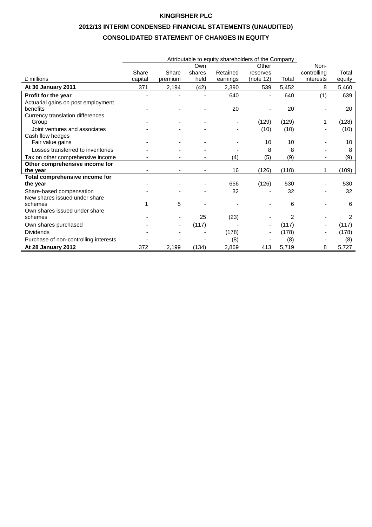## **2012/13 INTERIM CONDENSED FINANCIAL STATEMENTS (UNAUDITED) CONSOLIDATED STATEMENT OF CHANGES IN EQUITY**

|                                       |                |         | Own    |          | Other     |                | Non-                     |        |
|---------------------------------------|----------------|---------|--------|----------|-----------|----------------|--------------------------|--------|
|                                       | Share          | Share   | shares | Retained | reserves  |                | controlling              | Total  |
| £ millions                            | capital        | premium | held   | earnings | (note 12) | Total          | interests                | equity |
| At 30 January 2011                    | 371            | 2,194   | (42)   | 2,390    | 539       | 5,452          | 8                        | 5,460  |
| Profit for the year                   | $\blacksquare$ |         |        | 640      |           | 640            | (1)                      | 639    |
| Actuarial gains on post employment    |                |         |        |          |           |                |                          |        |
| benefits                              |                |         |        | 20       |           | 20             |                          | 20     |
| Currency translation differences      |                |         |        |          |           |                |                          |        |
| Group                                 |                |         |        |          | (129)     | (129)          |                          | (128)  |
| Joint ventures and associates         |                |         |        |          | (10)      | (10)           |                          | (10)   |
| Cash flow hedges                      |                |         |        |          |           |                |                          |        |
| Fair value gains                      |                |         |        |          | 10        | 10             |                          | 10     |
| Losses transferred to inventories     |                |         |        |          | 8         | 8              |                          | 8      |
| Tax on other comprehensive income     |                |         |        | (4)      | (5)       | (9)            |                          | (9)    |
| Other comprehensive income for        |                |         |        |          |           |                |                          |        |
| the year                              |                |         |        | 16       | (126)     | (110)          |                          | (109)  |
| Total comprehensive income for        |                |         |        |          |           |                |                          |        |
| the year                              |                |         |        | 656      | (126)     | 530            |                          | 530    |
| Share-based compensation              |                |         |        | 32       |           | 32             |                          | 32     |
| New shares issued under share         |                |         |        |          |           |                |                          |        |
| schemes                               |                | 5       |        |          |           | 6              |                          | 6      |
| Own shares issued under share         |                |         |        |          |           |                |                          |        |
| schemes                               |                |         | 25     | (23)     |           | $\overline{2}$ |                          | 2      |
| Own shares purchased                  |                |         | (117)  |          |           | (117)          |                          | (117)  |
| <b>Dividends</b>                      |                |         |        | (178)    |           | (178)          |                          | (178)  |
| Purchase of non-controlling interests |                |         |        | (8)      |           | (8)            | $\overline{\phantom{a}}$ | (8)    |
| At 28 January 2012                    | 372            | 2,199   | (134)  | 2,869    | 413       | 5,719          | 8                        | 5,727  |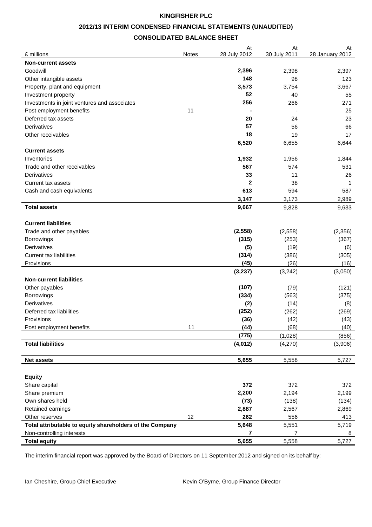#### **2012/13 INTERIM CONDENSED FINANCIAL STATEMENTS (UNAUDITED)**

### **CONSOLIDATED BALANCE SHEET**

| £ millions                                               | Notes | At<br>28 July 2012 | At<br>30 July 2011 | At<br>28 January 2012 |
|----------------------------------------------------------|-------|--------------------|--------------------|-----------------------|
| <b>Non-current assets</b>                                |       |                    |                    |                       |
|                                                          |       |                    |                    |                       |
| Goodwill                                                 |       | 2,396<br>148       | 2,398<br>98        | 2,397<br>123          |
| Other intangible assets                                  |       |                    |                    |                       |
| Property, plant and equipment                            |       | 3,573              | 3,754              | 3,667                 |
| Investment property                                      |       | 52                 | 40                 | 55                    |
| Investments in joint ventures and associates             |       | 256                | 266                | 271                   |
| Post employment benefits                                 | 11    |                    |                    | 25                    |
| Deferred tax assets                                      |       | 20                 | 24                 | 23                    |
| <b>Derivatives</b>                                       |       | 57                 | 56                 | 66                    |
| Other receivables                                        |       | 18                 | 19                 | 17                    |
|                                                          |       | 6,520              | 6,655              | 6,644                 |
| <b>Current assets</b>                                    |       |                    |                    |                       |
| Inventories                                              |       | 1,932              | 1,956              | 1,844                 |
| Trade and other receivables                              |       | 567                | 574                | 531                   |
| Derivatives                                              |       | 33                 | 11                 | 26                    |
| <b>Current tax assets</b>                                |       | $\mathbf{2}$       | 38                 | 1                     |
| Cash and cash equivalents                                |       | 613                | 594                | 587                   |
|                                                          |       | 3,147              | 3,173              | 2,989                 |
| <b>Total assets</b>                                      |       | 9,667              | 9,828              | 9,633                 |
|                                                          |       |                    |                    |                       |
| <b>Current liabilities</b>                               |       |                    |                    |                       |
| Trade and other payables                                 |       | (2, 558)           | (2,558)            | (2,356)               |
| <b>Borrowings</b>                                        |       | (315)              | (253)              | (367)                 |
| <b>Derivatives</b>                                       |       | (5)                | (19)               | (6)                   |
| <b>Current tax liabilities</b>                           |       | (314)              | (386)              | (305)                 |
| Provisions                                               |       | (45)               | (26)               | (16)                  |
|                                                          |       | (3, 237)           | (3, 242)           | (3,050)               |
| <b>Non-current liabilities</b>                           |       |                    |                    |                       |
| Other payables                                           |       | (107)              | (79)               | (121)                 |
| <b>Borrowings</b>                                        |       | (334)              | (563)              | (375)                 |
| Derivatives                                              |       | (2)                | (14)               | (8)                   |
| Deferred tax liabilities                                 |       | (252)              | (262)              | (269)                 |
| Provisions                                               |       | (36)               | (42)               | (43)                  |
| Post employment benefits                                 | 11    | (44)               | (68)               | (40)                  |
|                                                          |       | (775)              | (1,028)            | (856)                 |
| <b>Total liabilities</b>                                 |       | (4, 012)           | (4,270)            | (3,906)               |
|                                                          |       |                    |                    |                       |
| <b>Net assets</b>                                        |       | 5,655              | 5,558              | 5,727                 |
|                                                          |       |                    |                    |                       |
| <b>Equity</b>                                            |       |                    |                    |                       |
| Share capital                                            |       | 372                | 372                | 372                   |
| Share premium                                            |       | 2,200              | 2,194              | 2,199                 |
| Own shares held                                          |       | (73)               | (138)              | (134)                 |
| Retained earnings                                        |       | 2,887              | 2,567              | 2,869                 |
| Other reserves                                           | 12    | 262                | 556                | 413                   |
| Total attributable to equity shareholders of the Company |       | 5,648              | 5,551              | 5,719                 |
| Non-controlling interests                                |       | 7                  | 7                  | 8                     |
| <b>Total equity</b>                                      |       | 5,655              | 5,558              | 5,727                 |
|                                                          |       |                    |                    |                       |

The interim financial report was approved by the Board of Directors on 11 September 2012 and signed on its behalf by: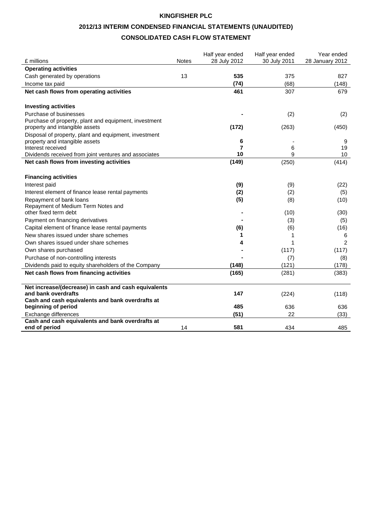# **2012/13 INTERIM CONDENSED FINANCIAL STATEMENTS (UNAUDITED)**

### **CONSOLIDATED CASH FLOW STATEMENT**

|                                                                                         |       | Half year ended | Half year ended | Year ended      |
|-----------------------------------------------------------------------------------------|-------|-----------------|-----------------|-----------------|
| £ millions                                                                              | Notes | 28 July 2012    | 30 July 2011    | 28 January 2012 |
| <b>Operating activities</b>                                                             |       |                 |                 |                 |
| Cash generated by operations                                                            | 13    | 535             | 375             | 827             |
| Income tax paid                                                                         |       | (74)            | (68)            | (148)           |
| Net cash flows from operating activities                                                |       | 461             | 307             | 679             |
|                                                                                         |       |                 |                 |                 |
| <b>Investing activities</b>                                                             |       |                 |                 |                 |
| Purchase of businesses<br>Purchase of property, plant and equipment, investment         |       |                 | (2)             | (2)             |
| property and intangible assets                                                          |       | (172)           | (263)           | (450)           |
|                                                                                         |       |                 |                 |                 |
| Disposal of property, plant and equipment, investment<br>property and intangible assets |       | 6               |                 | 9               |
| Interest received                                                                       |       | 7               | 6               | 19              |
| Dividends received from joint ventures and associates                                   |       | 10              | 9               | 10              |
| Net cash flows from investing activities                                                |       | (149)           | (250)           | (414)           |
|                                                                                         |       |                 |                 |                 |
| <b>Financing activities</b>                                                             |       |                 |                 |                 |
| Interest paid                                                                           |       | (9)             | (9)             | (22)            |
| Interest element of finance lease rental payments                                       |       | (2)             | (2)             | (5)             |
| Repayment of bank loans                                                                 |       | (5)             | (8)             | (10)            |
| Repayment of Medium Term Notes and                                                      |       |                 |                 |                 |
| other fixed term debt                                                                   |       |                 | (10)            | (30)            |
| Payment on financing derivatives                                                        |       |                 | (3)             | (5)             |
| Capital element of finance lease rental payments                                        |       | (6)             | (6)             | (16)            |
| New shares issued under share schemes                                                   |       | 1               | 1               | 6               |
| Own shares issued under share schemes                                                   |       |                 | 1               | $\overline{2}$  |
| Own shares purchased                                                                    |       |                 | (117)           | (117)           |
| Purchase of non-controlling interests                                                   |       |                 | (7)             | (8)             |
| Dividends paid to equity shareholders of the Company                                    |       | (148)           | (121)           | (178)           |
| Net cash flows from financing activities                                                |       | (165)           | (281)           | (383)           |
|                                                                                         |       |                 |                 |                 |
| Net increase/(decrease) in cash and cash equivalents<br>and bank overdrafts             |       | 147             | (224)           | (118)           |
| Cash and cash equivalents and bank overdrafts at                                        |       |                 |                 |                 |
| beginning of period                                                                     |       | 485             | 636             | 636             |
| Exchange differences                                                                    |       | (51)            | 22              | (33)            |
| Cash and cash equivalents and bank overdrafts at                                        |       |                 |                 |                 |
| end of period                                                                           | 14    | 581             | 434             | 485             |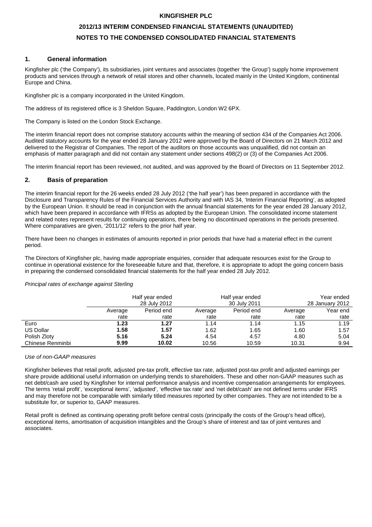## **2012/13 INTERIM CONDENSED FINANCIAL STATEMENTS (UNAUDITED) NOTES TO THE CONDENSED CONSOLIDATED FINANCIAL STATEMENTS**

#### **1. General information**

Kingfisher plc ('the Company'), its subsidiaries, joint ventures and associates (together 'the Group') supply home improvement products and services through a network of retail stores and other channels, located mainly in the United Kingdom, continental Europe and China.

Kingfisher plc is a company incorporated in the United Kingdom.

The address of its registered office is 3 Sheldon Square, Paddington, London W2 6PX.

The Company is listed on the London Stock Exchange.

The interim financial report does not comprise statutory accounts within the meaning of section 434 of the Companies Act 2006. Audited statutory accounts for the year ended 28 January 2012 were approved by the Board of Directors on 21 March 2012 and delivered to the Registrar of Companies. The report of the auditors on those accounts was unqualified, did not contain an emphasis of matter paragraph and did not contain any statement under sections 498(2) or (3) of the Companies Act 2006.

The interim financial report has been reviewed, not audited, and was approved by the Board of Directors on 11 September 2012.

#### **2. Basis of preparation**

The interim financial report for the 26 weeks ended 28 July 2012 ('the half year') has been prepared in accordance with the Disclosure and Transparency Rules of the Financial Services Authority and with IAS 34, 'Interim Financial Reporting', as adopted by the European Union. It should be read in conjunction with the annual financial statements for the year ended 28 January 2012, which have been prepared in accordance with IFRSs as adopted by the European Union. The consolidated income statement and related notes represent results for continuing operations, there being no discontinued operations in the periods presented. Where comparatives are given, '2011/12' refers to the prior half year.

There have been no changes in estimates of amounts reported in prior periods that have had a material effect in the current period.

The Directors of Kingfisher plc, having made appropriate enquiries, consider that adequate resources exist for the Group to continue in operational existence for the foreseeable future and that, therefore, it is appropriate to adopt the going concern basis in preparing the condensed consolidated financial statements for the half year ended 28 July 2012.

|                  |         | Half year ended<br>Half year ended<br>28 July 2012<br>30 July 2011 |         |            |         | Year ended<br>28 January 2012 |
|------------------|---------|--------------------------------------------------------------------|---------|------------|---------|-------------------------------|
|                  | Average | Period end                                                         | Average | Period end | Average | Year end                      |
|                  | rate    | rate                                                               | rate    | rate       | rate    | rate                          |
| Euro             | 1.23    | 1.27                                                               | 1.14    | 1.14       | 1.15    | 1.19                          |
| <b>US Dollar</b> | 1.58    | 1.57                                                               | 1.62    | 1.65       | 1.60    | 1.57                          |
| Polish Zloty     | 5.16    | 5.24                                                               | 4.54    | 4.57       | 4.80    | 5.04                          |
| Chinese Renminbi | 9.99    | 10.02                                                              | 10.56   | 10.59      | 10.31   | 9.94                          |

#### Principal rates of exchange against Sterling

#### Use of non-GAAP measures

Kingfisher believes that retail profit, adjusted pre-tax profit, effective tax rate, adjusted post-tax profit and adjusted earnings per share provide additional useful information on underlying trends to shareholders. These and other non-GAAP measures such as net debt/cash are used by Kingfisher for internal performance analysis and incentive compensation arrangements for employees. The terms 'retail profit', 'exceptional items', 'adjusted', 'effective tax rate' and 'net debt/cash' are not defined terms under IFRS and may therefore not be comparable with similarly titled measures reported by other companies. They are not intended to be a substitute for, or superior to, GAAP measures.

Retail profit is defined as continuing operating profit before central costs (principally the costs of the Group's head office), exceptional items, amortisation of acquisition intangibles and the Group's share of interest and tax of joint ventures and associates.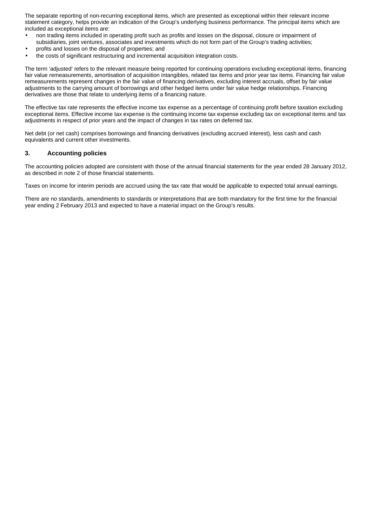The separate reporting of non-recurring exceptional items, which are presented as exceptional within their relevant income statement category, helps provide an indication of the Group's underlying business performance. The principal items which are included as exceptional items are:

- non trading items included in operating profit such as profits and losses on the disposal, closure or impairment of subsidiaries, joint ventures, associates and investments which do not form part of the Group's trading activities;
- profits and losses on the disposal of properties; and
- the costs of significant restructuring and incremental acquisition integration costs.

The term 'adjusted' refers to the relevant measure being reported for continuing operations excluding exceptional items, financing fair value remeasurements, amortisation of acquisition intangibles, related tax items and prior year tax items. Financing fair value remeasurements represent changes in the fair value of financing derivatives, excluding interest accruals, offset by fair value adjustments to the carrying amount of borrowings and other hedged items under fair value hedge relationships. Financing derivatives are those that relate to underlying items of a financing nature.

The effective tax rate represents the effective income tax expense as a percentage of continuing profit before taxation excluding exceptional items. Effective income tax expense is the continuing income tax expense excluding tax on exceptional items and tax adjustments in respect of prior years and the impact of changes in tax rates on deferred tax.

Net debt (or net cash) comprises borrowings and financing derivatives (excluding accrued interest), less cash and cash equivalents and current other investments.

#### **3. Accounting policies**

The accounting policies adopted are consistent with those of the annual financial statements for the year ended 28 January 2012, as described in note 2 of those financial statements.

Taxes on income for interim periods are accrued using the tax rate that would be applicable to expected total annual earnings.

There are no standards, amendments to standards or interpretations that are both mandatory for the first time for the financial year ending 2 February 2013 and expected to have a material impact on the Group's results.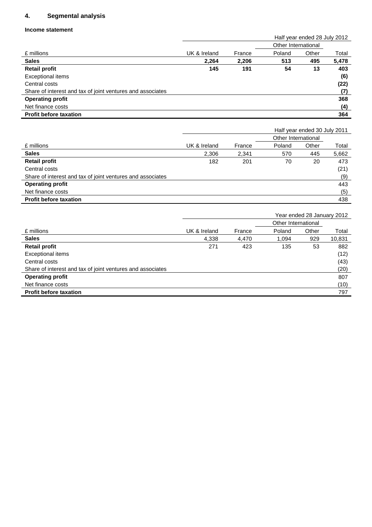### **4. Segmental analysis**

#### **Income statement**

|                                                            |              |        | Half year ended 28 July 2012 |       |       |
|------------------------------------------------------------|--------------|--------|------------------------------|-------|-------|
|                                                            |              |        | Other International          |       |       |
| £ millions                                                 | UK & Ireland | France | Poland                       | Other | Total |
| <b>Sales</b>                                               | 2,264        | 2,206  | 513                          | 495   | 5,478 |
| <b>Retail profit</b>                                       | 145          | 191    | 54                           | 13    | 403   |
| Exceptional items                                          |              |        |                              |       | (6)   |
| Central costs                                              |              |        |                              |       | (22)  |
| Share of interest and tax of joint ventures and associates |              |        |                              |       | (7)   |
| <b>Operating profit</b>                                    |              |        |                              |       | 368   |
| Net finance costs                                          |              |        |                              |       | (4)   |
| <b>Profit before taxation</b>                              |              |        |                              |       | 364   |

|                                                            |              |        | Half year ended 30 July 2011 |       |       |
|------------------------------------------------------------|--------------|--------|------------------------------|-------|-------|
|                                                            |              |        | Other International          |       |       |
| £ millions                                                 | UK & Ireland | France | Poland                       | Other | Total |
| <b>Sales</b>                                               | 2,306        | 2,341  | 570                          | 445   | 5,662 |
| <b>Retail profit</b>                                       | 182          | 201    | 70                           | 20    | 473   |
| Central costs                                              |              |        |                              |       | (21)  |
| Share of interest and tax of joint ventures and associates |              |        |                              |       | (9)   |
| <b>Operating profit</b>                                    |              |        |                              |       | 443   |
| Net finance costs                                          |              |        |                              |       | (5)   |
| <b>Profit before taxation</b>                              |              |        |                              |       | 438   |

|              |        | Year ended 28 January 2012 |       |                     |
|--------------|--------|----------------------------|-------|---------------------|
|              |        |                            |       |                     |
| UK & Ireland | France | Poland                     | Other | Total               |
| 4,338        | 4,470  | 1.094                      | 929   | 10,831              |
| 271          | 423    | 135                        | 53    | 882                 |
|              |        |                            |       | (12)                |
|              |        |                            |       | (43)                |
|              |        |                            |       | (20)                |
|              |        |                            |       | 807                 |
|              |        |                            |       | (10)                |
|              |        |                            |       | 797                 |
|              |        |                            |       | Other International |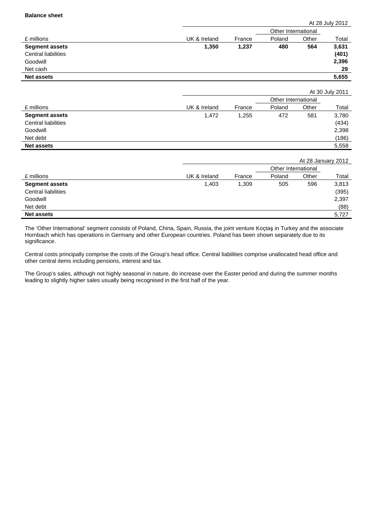|                            |              |        |                     |       | At 28 July 2012 |
|----------------------------|--------------|--------|---------------------|-------|-----------------|
|                            |              |        | Other International |       |                 |
| £ millions                 | UK & Ireland | France | Poland              | Other | Total           |
| <b>Segment assets</b>      | 1,350        | 1,237  | 480                 | 564   | 3,631           |
| <b>Central liabilities</b> |              |        |                     |       | (401)           |
| Goodwill                   |              |        |                     |       | 2,396           |
| Net cash                   |              |        |                     |       | 29              |
| <b>Net assets</b>          |              |        |                     |       | 5,655           |
|                            |              |        |                     |       |                 |

|                            |              |        |                     |       | At 30 July 2011 |
|----------------------------|--------------|--------|---------------------|-------|-----------------|
|                            |              |        | Other International |       |                 |
| £ millions                 | UK & Ireland | France | Poland              | Other | Total           |
| <b>Segment assets</b>      | 1,472        | 1,255  | 472                 | 581   | 3,780           |
| <b>Central liabilities</b> |              |        |                     |       | (434)           |
| Goodwill                   |              |        |                     |       | 2,398           |
| Net debt                   |              |        |                     |       | (186)           |
| <b>Net assets</b>          |              |        |                     |       | 5,558           |

|                            |              |        |                     | At 28 January 2012 |       |
|----------------------------|--------------|--------|---------------------|--------------------|-------|
|                            |              |        | Other International |                    |       |
| £ millions                 | UK & Ireland | France | Poland              | Other              | Total |
| <b>Segment assets</b>      | 1,403        | 1,309  | 505                 | 596                | 3,813 |
| <b>Central liabilities</b> |              |        |                     |                    | (395) |
| Goodwill                   |              |        |                     |                    | 2,397 |
| Net debt                   |              |        |                     |                    | (88)  |
| <b>Net assets</b>          |              |        |                     |                    | 5.727 |

The 'Other International' segment consists of Poland, China, Spain, Russia, the joint venture Koçtaş in Turkey and the associate Hornbach which has operations in Germany and other European countries. Poland has been shown separately due to its significance.

Central costs principally comprise the costs of the Group's head office. Central liabilities comprise unallocated head office and other central items including pensions, interest and tax.

The Group's sales, although not highly seasonal in nature, do increase over the Easter period and during the summer months leading to slightly higher sales usually being recognised in the first half of the year.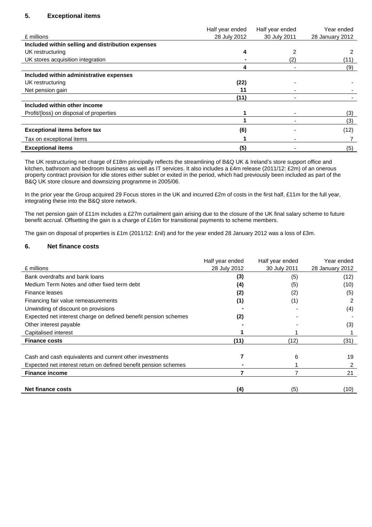### **5. Exceptional items**

|                                                   | Half year ended | Half year ended | Year ended      |
|---------------------------------------------------|-----------------|-----------------|-----------------|
| £ millions                                        | 28 July 2012    | 30 July 2011    | 28 January 2012 |
| Included within selling and distribution expenses |                 |                 |                 |
| UK restructuring                                  | 4               |                 |                 |
| UK stores acquisition integration                 |                 | $^{2}$          | (11)            |
|                                                   |                 |                 | (9)             |
| Included within administrative expenses           |                 |                 |                 |
| UK restructuring                                  | (22)            |                 |                 |
| Net pension gain                                  | 11              |                 |                 |
|                                                   | (11)            |                 |                 |
| Included within other income                      |                 |                 |                 |
| Profit/(loss) on disposal of properties           |                 |                 | (3)             |
|                                                   |                 |                 | (3)             |
| <b>Exceptional items before tax</b>               | (6)             |                 | (12)            |
| Tax on exceptional items                          |                 |                 |                 |
| <b>Exceptional items</b>                          | (5)             |                 | (5)             |

The UK restructuring net charge of £18m principally reflects the streamlining of B&Q UK & Ireland's store support office and kitchen, bathroom and bedroom business as well as IT services. It also includes a £4m release (2011/12: £2m) of an onerous property contract provision for idle stores either sublet or exited in the period, which had previously been included as part of the B&Q UK store closure and downsizing programme in 2005/06.

In the prior year the Group acquired 29 Focus stores in the UK and incurred £2m of costs in the first half, £11m for the full year, integrating these into the B&Q store network.

The net pension gain of £11m includes a £27m curtailment gain arising due to the closure of the UK final salary scheme to future benefit accrual. Offsetting the gain is a charge of £16m for transitional payments to scheme members.

The gain on disposal of properties is £1m (2011/12: £nil) and for the year ended 28 January 2012 was a loss of £3m.

#### **6. Net finance costs**

|                                                                 | Half year ended | Half year ended | Year ended      |
|-----------------------------------------------------------------|-----------------|-----------------|-----------------|
| £ millions                                                      | 28 July 2012    | 30 July 2011    | 28 January 2012 |
| Bank overdrafts and bank loans                                  | (3)             | (5)             | (12)            |
| Medium Term Notes and other fixed term debt                     | (4)             | (5)             | (10)            |
| Finance leases                                                  | (2)             | (2)             | (5)             |
| Financing fair value remeasurements                             | (1)             | (1)             | 2               |
| Unwinding of discount on provisions                             |                 |                 | (4)             |
| Expected net interest charge on defined benefit pension schemes | (2)             |                 |                 |
| Other interest payable                                          |                 |                 | (3)             |
| Capitalised interest                                            |                 |                 |                 |
| <b>Finance costs</b>                                            | (11)            | (12)            | (31)            |
|                                                                 |                 |                 |                 |
| Cash and cash equivalents and current other investments         |                 | 6               | 19              |
| Expected net interest return on defined benefit pension schemes |                 |                 | 2               |
| <b>Finance income</b>                                           |                 |                 | 21              |
|                                                                 |                 |                 |                 |
| <b>Net finance costs</b>                                        | (4)             | (5)             | (10)            |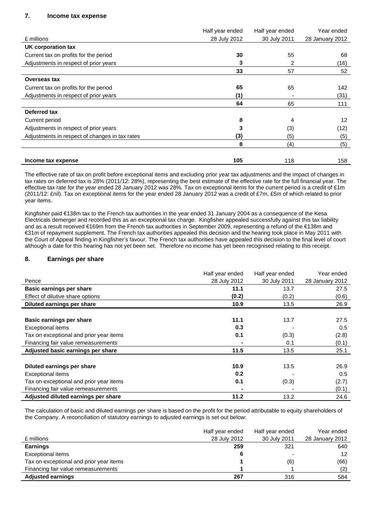### **7. Income tax expense**

|                                                | Half year ended | Half year ended | Year ended      |
|------------------------------------------------|-----------------|-----------------|-----------------|
| £ millions                                     | 28 July 2012    | 30 July 2011    | 28 January 2012 |
| UK corporation tax                             |                 |                 |                 |
| Current tax on profits for the period          | 30              | 55              | 68              |
| Adjustments in respect of prior years          | 3               | 2               | (16)            |
|                                                | 33              | 57              | 52              |
| Overseas tax                                   |                 |                 |                 |
| Current tax on profits for the period          | 65              | 65              | 142             |
| Adjustments in respect of prior years          | (1)             |                 | (31)            |
|                                                | 64              | 65              | 111             |
| Deferred tax                                   |                 |                 |                 |
| Current period                                 | 8               | 4               | 12              |
| Adjustments in respect of prior years          | 3               | (3)             | (12)            |
| Adjustments in respect of changes in tax rates | (3)             | (5)             | (5)             |
|                                                | 8               | (4)             | (5)             |
| Income tax expense                             | 105             | 118             | 158             |

The effective rate of tax on profit before exceptional items and excluding prior year tax adjustments and the impact of changes in tax rates on deferred tax is 28% (2011/12: 28%), representing the best estimate of the effective rate for the full financial year. The effective tax rate for the year ended 28 January 2012 was 28%. Tax on exceptional items for the current period is a credit of £1m (2011/12: £nil). Tax on exceptional items for the year ended 28 January 2012 was a credit of £7m, £5m of which related to prior year items.

Kingfisher paid €138m tax to the French tax authorities in the year ended 31 January 2004 as a consequence of the Kesa Electricals demerger and recorded this as an exceptional tax charge. Kingfisher appealed successfully against this tax liability and as a result received €169m from the French tax authorities in September 2009, representing a refund of the €138m and €31m of repayment supplement. The French tax authorities appealed this decision and the hearing took place in May 2011 with the Court of Appeal finding in Kingfisher's favour. The French tax authorities have appealed this decision to the final level of court although a date for this hearing has not yet been set. Therefore no income has yet been recognised relating to this receipt.

#### **8. Earnings per share**

|                                         | Half year ended | Half year ended | Year ended      |
|-----------------------------------------|-----------------|-----------------|-----------------|
| Pence                                   | 28 July 2012    | 30 July 2011    | 28 January 2012 |
| <b>Basic earnings per share</b>         | 11.1            | 13.7            | 27.5            |
| Effect of dilutive share options        | (0.2)           | (0.2)           | (0.6)           |
| Diluted earnings per share              | 10.9            | 13.5            | 26.9            |
|                                         |                 |                 |                 |
| Basic earnings per share                | 11.1            | 13.7            | 27.5            |
| <b>Exceptional items</b>                | 0.3             |                 | 0.5             |
| Tax on exceptional and prior year items | 0.1             | (0.3)           | (2.8)           |
| Financing fair value remeasurements     |                 | 0.1             | (0.1)           |
| Adjusted basic earnings per share       | 11.5            | 13.5            | 25.1            |
|                                         |                 |                 |                 |
| Diluted earnings per share              | 10.9            | 13.5            | 26.9            |
| <b>Exceptional items</b>                | 0.2             |                 | 0.5             |
| Tax on exceptional and prior year items | 0.1             | (0.3)           | (2.7)           |
| Financing fair value remeasurements     |                 |                 | (0.1)           |
| Adjusted diluted earnings per share     | 11.2            | 13.2            | 24.6            |

The calculation of basic and diluted earnings per share is based on the profit for the period attributable to equity shareholders of the Company. A reconciliation of statutory earnings to adjusted earnings is set out below:

|                                         | Half year ended | Half year ended | Year ended      |
|-----------------------------------------|-----------------|-----------------|-----------------|
| £ millions                              | 28 July 2012    | 30 July 2011    | 28 January 2012 |
| <b>Earnings</b>                         | 259             | 321             | 640             |
| Exceptional items                       | 6               |                 | 12              |
| Tax on exceptional and prior year items |                 | (6)             | (66)            |
| Financing fair value remeasurements     |                 |                 | (2)             |
| <b>Adjusted earnings</b>                | 267             | 316             | 584             |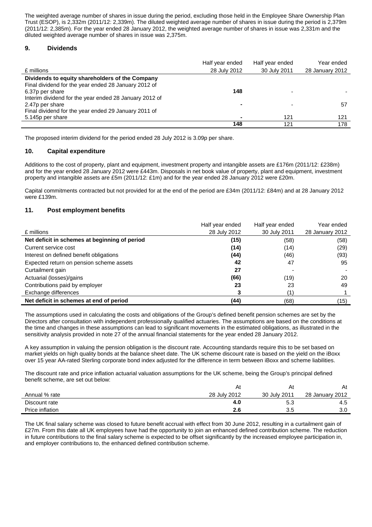The weighted average number of shares in issue during the period, excluding those held in the Employee Share Ownership Plan Trust (ESOP), is 2,332m (2011/12: 2,339m). The diluted weighted average number of shares in issue during the period is 2,379m (2011/12: 2,385m). For the year ended 28 January 2012, the weighted average number of shares in issue was 2,331m and the diluted weighted average number of shares in issue was 2,375m.

#### **9. Dividends**

|                                                        | Half year ended | Half year ended | Year ended      |
|--------------------------------------------------------|-----------------|-----------------|-----------------|
| £ millions                                             | 28 July 2012    | 30 July 2011    | 28 January 2012 |
| Dividends to equity shareholders of the Company        |                 |                 |                 |
| Final dividend for the year ended 28 January 2012 of   |                 |                 |                 |
| 6.37p per share                                        | 148             |                 |                 |
| Interim dividend for the year ended 28 January 2012 of |                 |                 |                 |
| 2.47p per share                                        |                 |                 | 57              |
| Final dividend for the year ended 29 January 2011 of   |                 |                 |                 |
| 5.145p per share                                       |                 | 121             | 121             |
|                                                        | 148             | 121             | 178             |

The proposed interim dividend for the period ended 28 July 2012 is 3.09p per share.

#### **10. Capital expenditure**

Additions to the cost of property, plant and equipment, investment property and intangible assets are £176m (2011/12: £238m) and for the year ended 28 January 2012 were £443m. Disposals in net book value of property, plant and equipment, investment property and intangible assets are £5m (2011/12: £1m) and for the year ended 28 January 2012 were £20m.

Capital commitments contracted but not provided for at the end of the period are £34m (2011/12: £84m) and at 28 January 2012 were £139m.

#### **11. Post employment benefits**

|                                               | Half year ended | Half year ended | Year ended      |
|-----------------------------------------------|-----------------|-----------------|-----------------|
| £ millions                                    | 28 July 2012    | 30 July 2011    | 28 January 2012 |
| Net deficit in schemes at beginning of period | (15)            | (58)            | (58)            |
| Current service cost                          | (14)            | (14)            | (29)            |
| Interest on defined benefit obligations       | (44)            | (46)            | (93)            |
| Expected return on pension scheme assets      | 42              | 47              | 95              |
| Curtailment gain                              | 27              |                 |                 |
| Actuarial (losses)/gains                      | (66)            | (19)            | 20              |
| Contributions paid by employer                | 23              | 23              | 49              |
| Exchange differences                          |                 |                 |                 |
| Net deficit in schemes at end of period       | (44)            | (68)            | (15)            |

The assumptions used in calculating the costs and obligations of the Group's defined benefit pension schemes are set by the Directors after consultation with independent professionally qualified actuaries. The assumptions are based on the conditions at the time and changes in these assumptions can lead to significant movements in the estimated obligations, as illustrated in the sensitivity analysis provided in note 27 of the annual financial statements for the year ended 28 January 2012.

A key assumption in valuing the pension obligation is the discount rate. Accounting standards require this to be set based on market yields on high quality bonds at the balance sheet date. The UK scheme discount rate is based on the yield on the iBoxx over 15 year AA-rated Sterling corporate bond index adjusted for the difference in term between iBoxx and scheme liabilities.

The discount rate and price inflation actuarial valuation assumptions for the UK scheme, being the Group's principal defined benefit scheme, are set out below:

|                 | At           | Al           | At              |
|-----------------|--------------|--------------|-----------------|
| Annual % rate   | 28 July 2012 | 30 July 2011 | 28 January 2012 |
| Discount rate   | 4.O          | 5.3          | 4.5             |
| Price inflation | 2.6          | 3.5          | 3.0             |

The UK final salary scheme was closed to future benefit accrual with effect from 30 June 2012, resulting in a curtailment gain of £27m. From this date all UK employees have had the opportunity to join an enhanced defined contribution scheme. The reduction in future contributions to the final salary scheme is expected to be offset significantly by the increased employee participation in, and employer contributions to, the enhanced defined contribution scheme.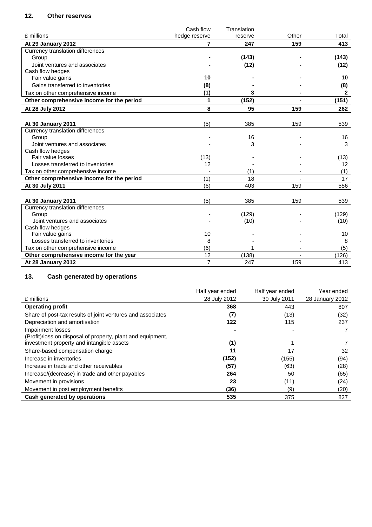### **12. Other reserves**

|                                           | Cash flow      | Translation |       |                   |
|-------------------------------------------|----------------|-------------|-------|-------------------|
| £ millions                                | hedge reserve  | reserve     | Other | Total             |
| At 29 January 2012                        | 7              | 247         | 159   | 413               |
| Currency translation differences          |                |             |       |                   |
| Group                                     |                | (143)       |       | (143)             |
| Joint ventures and associates             |                | (12)        |       | (12)              |
| Cash flow hedges                          |                |             |       |                   |
| Fair value gains                          | 10             |             |       | 10                |
| Gains transferred to inventories          | (8)            |             |       | (8)               |
| Tax on other comprehensive income         | (1)            | 3           |       | $\mathbf{2}$      |
| Other comprehensive income for the period | 1              | (152)       |       | (151)             |
| At 28 July 2012                           | 8              | 95          | 159   | 262               |
|                                           |                |             |       |                   |
| At 30 January 2011                        | (5)            | 385         | 159   | 539               |
| Currency translation differences          |                |             |       |                   |
| Group                                     |                | 16          |       | 16                |
| Joint ventures and associates             |                | 3           |       | 3                 |
| Cash flow hedges                          |                |             |       |                   |
| Fair value losses                         | (13)           |             |       | (13)              |
| Losses transferred to inventories         | 12             |             |       | $12 \overline{ }$ |
| Tax on other comprehensive income         |                | (1)         |       | (1)               |
| Other comprehensive income for the period | (1)            | 18          |       | 17                |
| At 30 July 2011                           | (6)            | 403         | 159   | 556               |
|                                           |                |             |       |                   |
| At 30 January 2011                        | (5)            | 385         | 159   | 539               |
| Currency translation differences          |                |             |       |                   |
| Group                                     |                | (129)       |       | (129)             |
| Joint ventures and associates             |                | (10)        |       | (10)              |
| Cash flow hedges                          |                |             |       |                   |
| Fair value gains                          | 10             |             |       | 10                |
| Losses transferred to inventories         | 8              |             |       | 8                 |
| Tax on other comprehensive income         | (6)            |             |       | (5)               |
| Other comprehensive income for the year   | 12             | (138)       |       | (126)             |
| At 28 January 2012                        | $\overline{7}$ | 247         | 159   | 413               |

## **13. Cash generated by operations**

|                                                                                  | Half year ended | Half year ended | Year ended      |
|----------------------------------------------------------------------------------|-----------------|-----------------|-----------------|
| £ millions                                                                       | 28 July 2012    | 30 July 2011    | 28 January 2012 |
| <b>Operating profit</b>                                                          | 368             | 443             | 807             |
| Share of post-tax results of joint ventures and associates                       | (7)             | (13)            | (32)            |
| Depreciation and amortisation                                                    | 122             | 115             | 237             |
| Impairment losses<br>(Profit)/loss on disposal of property, plant and equipment, |                 |                 |                 |
| investment property and intangible assets                                        | (1)             |                 |                 |
| Share-based compensation charge                                                  | 11              | 17              | 32              |
| Increase in inventories                                                          | (152)           | (155)           | (94)            |
| Increase in trade and other receivables                                          | (57)            | (63)            | (28)            |
| Increase/(decrease) in trade and other payables                                  | 264             | 50              | (65)            |
| Movement in provisions                                                           | 23              | (11)            | (24)            |
| Movement in post employment benefits                                             | (36)            | (9)             | (20)            |
| Cash generated by operations                                                     | 535             | 375             | 827             |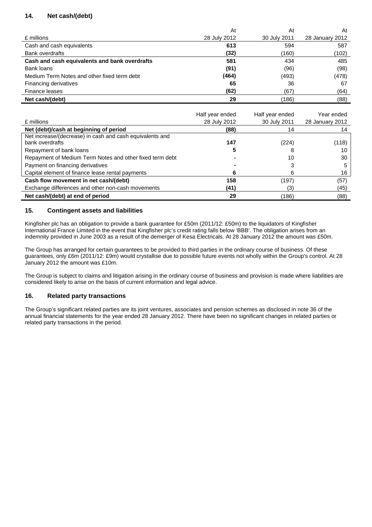### **14. Net cash/(debt)**

|                                               | At           | At           | At              |
|-----------------------------------------------|--------------|--------------|-----------------|
| £ millions                                    | 28 July 2012 | 30 July 2011 | 28 January 2012 |
| Cash and cash equivalents                     | 613          | 594          | 587             |
| Bank overdrafts                               | (32)         | (160)        | (102)           |
| Cash and cash equivalents and bank overdrafts | 581          | 434          | 485             |
| Bank loans                                    | (91)         | (96)         | (98)            |
| Medium Term Notes and other fixed term debt   | (464)        | (493)        | (478)           |
| Financing derivatives                         | 65           | 36           | 67              |
| Finance leases                                | (62)         | (67)         | (64)            |
| Net cash/(debt)                               | 29           | (186)        | (88)            |

|                                                          | Half year ended | Half year ended | Year ended      |
|----------------------------------------------------------|-----------------|-----------------|-----------------|
| £ millions                                               | 28 July 2012    | 30 July 2011    | 28 January 2012 |
| Net (debt)/cash at beginning of period                   | (88)            | 14              |                 |
| Net increase/(decrease) in cash and cash equivalents and |                 |                 |                 |
| bank overdrafts                                          | 147             | (224)           | (118)           |
| Repayment of bank loans                                  |                 |                 | 10              |
| Repayment of Medium Term Notes and other fixed term debt |                 | 10              | 30              |
| Payment on financing derivatives                         |                 |                 | 5               |
| Capital element of finance lease rental payments         | 6               | n               | 16              |
| Cash flow movement in net cash/(debt)                    | 158             | (197)           | (57)            |
| Exchange differences and other non-cash movements        | (41)            | (3)             | (45)            |
| Net cash/(debt) at end of period                         | 29              | (186)           | (88)            |

### **15. Contingent assets and liabilities**

Kingfisher plc has an obligation to provide a bank guarantee for £50m (2011/12: £50m) to the liquidators of Kingfisher International France Limited in the event that Kingfisher plc's credit rating falls below 'BBB'. The obligation arises from an indemnity provided in June 2003 as a result of the demerger of Kesa Electricals. At 28 January 2012 the amount was £50m.

The Group has arranged for certain guarantees to be provided to third parties in the ordinary course of business. Of these guarantees, only £6m (2011/12: £9m) would crystallise due to possible future events not wholly within the Group's control. At 28 January 2012 the amount was £10m.

The Group is subject to claims and litigation arising in the ordinary course of business and provision is made where liabilities are considered likely to arise on the basis of current information and legal advice.

### **16. Related party transactions**

The Group's significant related parties are its joint ventures, associates and pension schemes as disclosed in note 36 of the annual financial statements for the year ended 28 January 2012. There have been no significant changes in related parties or related party transactions in the period.